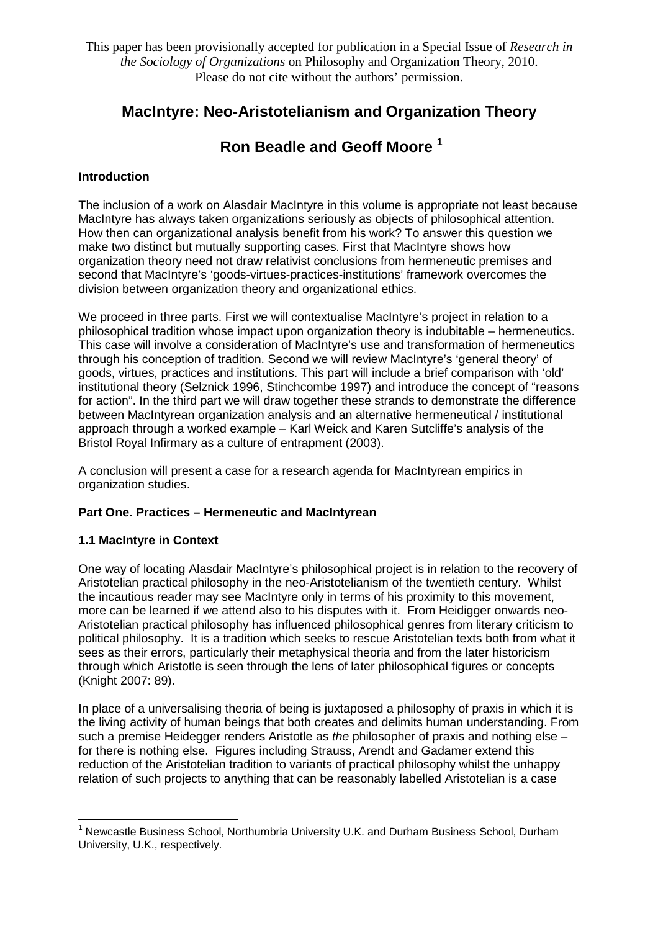This paper has been provisionally accepted for publication in a Special Issue of *Research in the Sociology of Organizations* on Philosophy and Organization Theory, 2010. Please do not cite without the authors' permission.

# **MacIntyre: Neo-Aristotelianism and Organization Theory**

# **Ron Beadle and Geoff Moore <sup>1</sup>**

# **Introduction**

The inclusion of a work on Alasdair MacIntyre in this volume is appropriate not least because MacIntyre has always taken organizations seriously as objects of philosophical attention. How then can organizational analysis benefit from his work? To answer this question we make two distinct but mutually supporting cases. First that MacIntyre shows how organization theory need not draw relativist conclusions from hermeneutic premises and second that MacIntyre's 'goods-virtues-practices-institutions' framework overcomes the division between organization theory and organizational ethics.

We proceed in three parts. First we will contextualise MacIntyre's project in relation to a philosophical tradition whose impact upon organization theory is indubitable – hermeneutics. This case will involve a consideration of MacIntyre's use and transformation of hermeneutics through his conception of tradition. Second we will review MacIntyre's 'general theory' of goods, virtues, practices and institutions. This part will include a brief comparison with 'old' institutional theory (Selznick 1996, Stinchcombe 1997) and introduce the concept of "reasons for action". In the third part we will draw together these strands to demonstrate the difference between MacIntyrean organization analysis and an alternative hermeneutical / institutional approach through a worked example – Karl Weick and Karen Sutcliffe's analysis of the Bristol Royal Infirmary as a culture of entrapment (2003).

A conclusion will present a case for a research agenda for MacIntyrean empirics in organization studies.

# **Part One. Practices – Hermeneutic and MacIntyrean**

#### **1.1 MacIntyre in Context**

One way of locating Alasdair MacIntyre's philosophical project is in relation to the recovery of Aristotelian practical philosophy in the neo-Aristotelianism of the twentieth century. Whilst the incautious reader may see MacIntyre only in terms of his proximity to this movement, more can be learned if we attend also to his disputes with it. From Heidigger onwards neo-Aristotelian practical philosophy has influenced philosophical genres from literary criticism to political philosophy. It is a tradition which seeks to rescue Aristotelian texts both from what it sees as their errors, particularly their metaphysical theoria and from the later historicism through which Aristotle is seen through the lens of later philosophical figures or concepts (Knight 2007: 89).

In place of a universalising theoria of being is juxtaposed a philosophy of praxis in which it is the living activity of human beings that both creates and delimits human understanding. From such a premise Heidegger renders Aristotle as the philosopher of praxis and nothing else – for there is nothing else. Figures including Strauss, Arendt and Gadamer extend this reduction of the Aristotelian tradition to variants of practical philosophy whilst the unhappy relation of such projects to anything that can be reasonably labelled Aristotelian is a case

 $\overline{a}$ <sup>1</sup> Newcastle Business School, Northumbria University U.K. and Durham Business School, Durham University, U.K., respectively.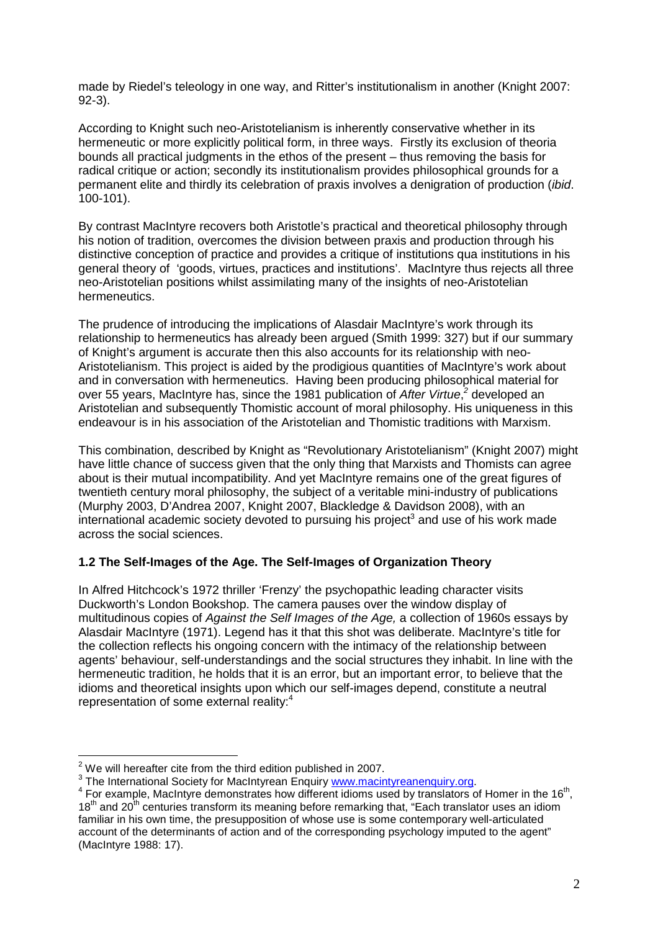made by Riedel's teleology in one way, and Ritter's institutionalism in another (Knight 2007: 92-3).

According to Knight such neo-Aristotelianism is inherently conservative whether in its hermeneutic or more explicitly political form, in three ways. Firstly its exclusion of theoria bounds all practical judgments in the ethos of the present – thus removing the basis for radical critique or action; secondly its institutionalism provides philosophical grounds for a permanent elite and thirdly its celebration of praxis involves a denigration of production (ibid. 100-101).

By contrast MacIntyre recovers both Aristotle's practical and theoretical philosophy through his notion of tradition, overcomes the division between praxis and production through his distinctive conception of practice and provides a critique of institutions qua institutions in his general theory of 'goods, virtues, practices and institutions'. MacIntyre thus rejects all three neo-Aristotelian positions whilst assimilating many of the insights of neo-Aristotelian hermeneutics.

The prudence of introducing the implications of Alasdair MacIntyre's work through its relationship to hermeneutics has already been argued (Smith 1999: 327) but if our summary of Knight's argument is accurate then this also accounts for its relationship with neo-Aristotelianism. This project is aided by the prodigious quantities of MacIntyre's work about and in conversation with hermeneutics. Having been producing philosophical material for over 55 years, MacIntyre has, since the 1981 publication of After Virtue,<sup>2</sup> developed an Aristotelian and subsequently Thomistic account of moral philosophy. His uniqueness in this endeavour is in his association of the Aristotelian and Thomistic traditions with Marxism.

This combination, described by Knight as "Revolutionary Aristotelianism" (Knight 2007) might have little chance of success given that the only thing that Marxists and Thomists can agree about is their mutual incompatibility. And yet MacIntyre remains one of the great figures of twentieth century moral philosophy, the subject of a veritable mini-industry of publications (Murphy 2003, D'Andrea 2007, Knight 2007, Blackledge & Davidson 2008), with an international academic society devoted to pursuing his project<sup>3</sup> and use of his work made across the social sciences.

# **1.2 The Self-Images of the Age. The Self-Images of Organization Theory**

In Alfred Hitchcock's 1972 thriller 'Frenzy' the psychopathic leading character visits Duckworth's London Bookshop. The camera pauses over the window display of multitudinous copies of Against the Self Images of the Age, a collection of 1960s essays by Alasdair MacIntyre (1971). Legend has it that this shot was deliberate. MacIntyre's title for the collection reflects his ongoing concern with the intimacy of the relationship between agents' behaviour, self-understandings and the social structures they inhabit. In line with the hermeneutic tradition, he holds that it is an error, but an important error, to believe that the idioms and theoretical insights upon which our self-images depend, constitute a neutral representation of some external reality:<sup>4</sup>

 2 We will hereafter cite from the third edition published in 2007.

<sup>&</sup>lt;sup>3</sup> The International Society for MacIntyrean Enquiry **www.macintyreanenquiry.org.** 

<sup>&</sup>lt;sup>4</sup> For example, MacIntyre demonstrates how different idioms used by translators of Homer in the 16<sup>th</sup>, 18<sup>th</sup> and 20<sup>th</sup> centuries transform its meaning before remarking that, "Each translator uses an idiom familiar in his own time, the presupposition of whose use is some contemporary well-articulated account of the determinants of action and of the corresponding psychology imputed to the agent" (MacIntyre 1988: 17).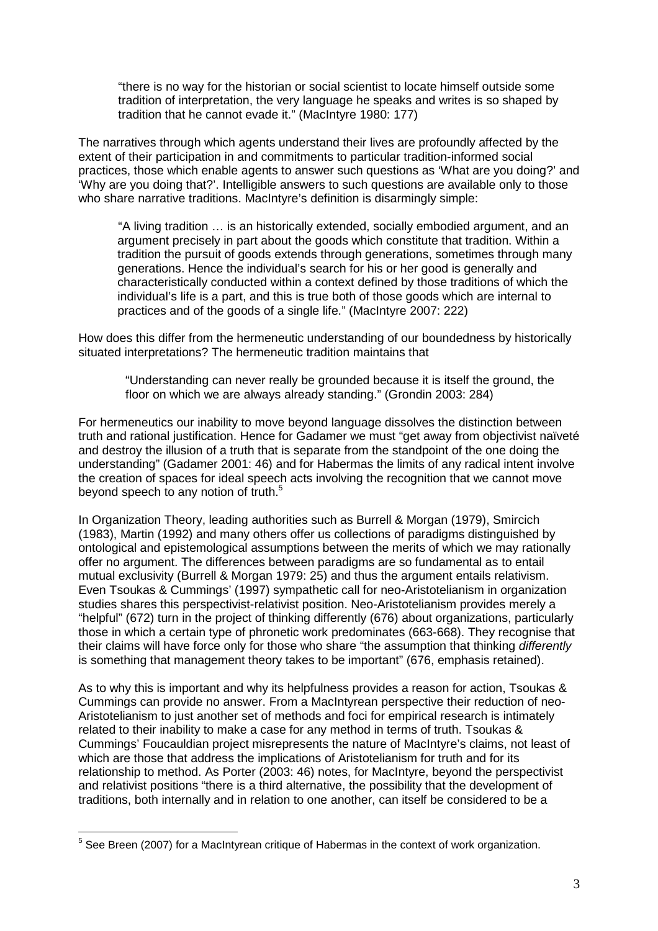"there is no way for the historian or social scientist to locate himself outside some tradition of interpretation, the very language he speaks and writes is so shaped by tradition that he cannot evade it." (MacIntyre 1980: 177)

The narratives through which agents understand their lives are profoundly affected by the extent of their participation in and commitments to particular tradition-informed social practices, those which enable agents to answer such questions as 'What are you doing?' and 'Why are you doing that?'. Intelligible answers to such questions are available only to those who share narrative traditions. MacIntyre's definition is disarmingly simple:

"A living tradition … is an historically extended, socially embodied argument, and an argument precisely in part about the goods which constitute that tradition. Within a tradition the pursuit of goods extends through generations, sometimes through many generations. Hence the individual's search for his or her good is generally and characteristically conducted within a context defined by those traditions of which the individual's life is a part, and this is true both of those goods which are internal to practices and of the goods of a single life." (MacIntyre 2007: 222)

How does this differ from the hermeneutic understanding of our boundedness by historically situated interpretations? The hermeneutic tradition maintains that

 "Understanding can never really be grounded because it is itself the ground, the floor on which we are always already standing." (Grondin 2003: 284)

For hermeneutics our inability to move beyond language dissolves the distinction between truth and rational justification. Hence for Gadamer we must "get away from objectivist naïveté and destroy the illusion of a truth that is separate from the standpoint of the one doing the understanding" (Gadamer 2001: 46) and for Habermas the limits of any radical intent involve the creation of spaces for ideal speech acts involving the recognition that we cannot move beyond speech to any notion of truth.<sup>5</sup>

In Organization Theory, leading authorities such as Burrell & Morgan (1979), Smircich (1983), Martin (1992) and many others offer us collections of paradigms distinguished by ontological and epistemological assumptions between the merits of which we may rationally offer no argument. The differences between paradigms are so fundamental as to entail mutual exclusivity (Burrell & Morgan 1979: 25) and thus the argument entails relativism. Even Tsoukas & Cummings' (1997) sympathetic call for neo-Aristotelianism in organization studies shares this perspectivist-relativist position. Neo-Aristotelianism provides merely a "helpful" (672) turn in the project of thinking differently (676) about organizations, particularly those in which a certain type of phronetic work predominates (663-668). They recognise that their claims will have force only for those who share "the assumption that thinking differently is something that management theory takes to be important" (676, emphasis retained).

As to why this is important and why its helpfulness provides a reason for action, Tsoukas & Cummings can provide no answer. From a MacIntyrean perspective their reduction of neo-Aristotelianism to just another set of methods and foci for empirical research is intimately related to their inability to make a case for any method in terms of truth. Tsoukas & Cummings' Foucauldian project misrepresents the nature of MacIntyre's claims, not least of which are those that address the implications of Aristotelianism for truth and for its relationship to method. As Porter (2003: 46) notes, for MacIntyre, beyond the perspectivist and relativist positions "there is a third alternative, the possibility that the development of traditions, both internally and in relation to one another, can itself be considered to be a

 $<sup>5</sup>$  See Breen (2007) for a MacIntyrean critique of Habermas in the context of work organization.</sup>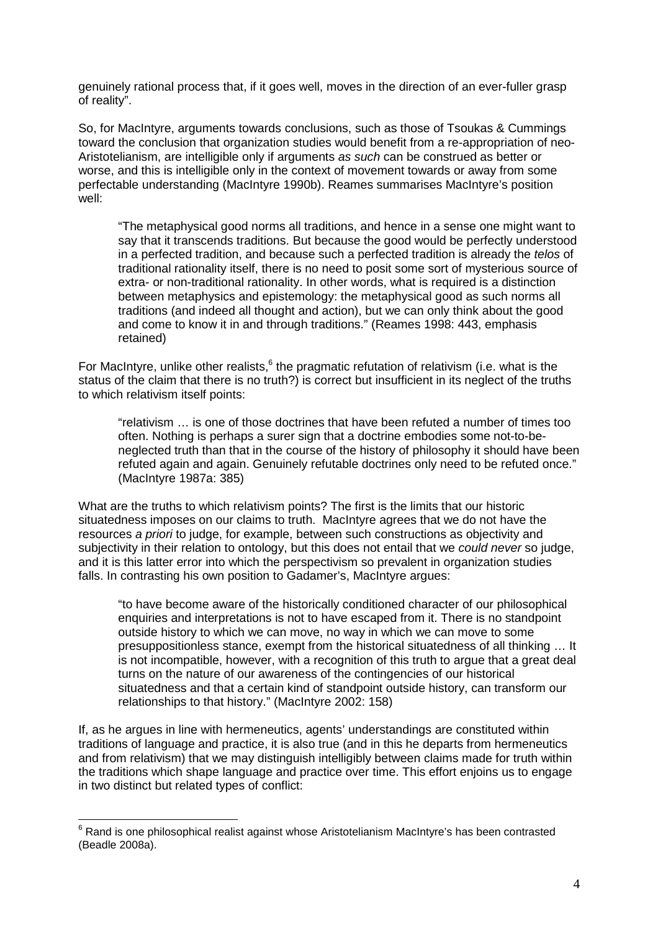genuinely rational process that, if it goes well, moves in the direction of an ever-fuller grasp of reality".

So, for MacIntyre, arguments towards conclusions, such as those of Tsoukas & Cummings toward the conclusion that organization studies would benefit from a re-appropriation of neo-Aristotelianism, are intelligible only if arguments as such can be construed as better or worse, and this is intelligible only in the context of movement towards or away from some perfectable understanding (MacIntyre 1990b). Reames summarises MacIntyre's position well:

"The metaphysical good norms all traditions, and hence in a sense one might want to say that it transcends traditions. But because the good would be perfectly understood in a perfected tradition, and because such a perfected tradition is already the telos of traditional rationality itself, there is no need to posit some sort of mysterious source of extra- or non-traditional rationality. In other words, what is required is a distinction between metaphysics and epistemology: the metaphysical good as such norms all traditions (and indeed all thought and action), but we can only think about the good and come to know it in and through traditions." (Reames 1998: 443, emphasis retained)

For MacIntyre, unlike other realists,  $6$  the pragmatic refutation of relativism (i.e. what is the status of the claim that there is no truth?) is correct but insufficient in its neglect of the truths to which relativism itself points:

"relativism … is one of those doctrines that have been refuted a number of times too often. Nothing is perhaps a surer sign that a doctrine embodies some not-to-beneglected truth than that in the course of the history of philosophy it should have been refuted again and again. Genuinely refutable doctrines only need to be refuted once." (MacIntyre 1987a: 385)

What are the truths to which relativism points? The first is the limits that our historic situatedness imposes on our claims to truth. MacIntyre agrees that we do not have the resources a priori to judge, for example, between such constructions as objectivity and subjectivity in their relation to ontology, but this does not entail that we could never so judge, and it is this latter error into which the perspectivism so prevalent in organization studies falls. In contrasting his own position to Gadamer's, MacIntyre argues:

 "to have become aware of the historically conditioned character of our philosophical enquiries and interpretations is not to have escaped from it. There is no standpoint outside history to which we can move, no way in which we can move to some presuppositionless stance, exempt from the historical situatedness of all thinking … It is not incompatible, however, with a recognition of this truth to argue that a great deal turns on the nature of our awareness of the contingencies of our historical situatedness and that a certain kind of standpoint outside history, can transform our relationships to that history." (MacIntyre 2002: 158)

If, as he argues in line with hermeneutics, agents' understandings are constituted within traditions of language and practice, it is also true (and in this he departs from hermeneutics and from relativism) that we may distinguish intelligibly between claims made for truth within the traditions which shape language and practice over time. This effort enjoins us to engage in two distinct but related types of conflict:

 6 Rand is one philosophical realist against whose Aristotelianism MacIntyre's has been contrasted (Beadle 2008a).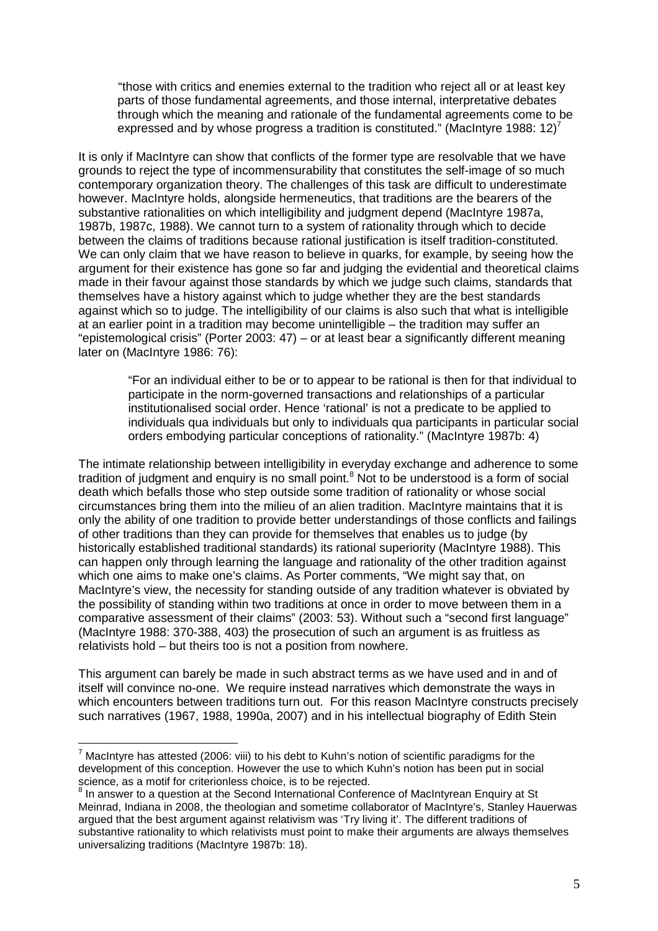"those with critics and enemies external to the tradition who reject all or at least key parts of those fundamental agreements, and those internal, interpretative debates through which the meaning and rationale of the fundamental agreements come to be expressed and by whose progress a tradition is constituted." (MacIntyre 1988: 12)<sup>7</sup>

It is only if MacIntyre can show that conflicts of the former type are resolvable that we have grounds to reject the type of incommensurability that constitutes the self-image of so much contemporary organization theory. The challenges of this task are difficult to underestimate however. MacIntyre holds, alongside hermeneutics, that traditions are the bearers of the substantive rationalities on which intelligibility and judgment depend (MacIntyre 1987a, 1987b, 1987c, 1988). We cannot turn to a system of rationality through which to decide between the claims of traditions because rational justification is itself tradition-constituted. We can only claim that we have reason to believe in quarks, for example, by seeing how the argument for their existence has gone so far and judging the evidential and theoretical claims made in their favour against those standards by which we judge such claims, standards that themselves have a history against which to judge whether they are the best standards against which so to judge. The intelligibility of our claims is also such that what is intelligible at an earlier point in a tradition may become unintelligible – the tradition may suffer an "epistemological crisis" (Porter 2003: 47) – or at least bear a significantly different meaning later on (MacIntyre 1986: 76):

 "For an individual either to be or to appear to be rational is then for that individual to participate in the norm-governed transactions and relationships of a particular institutionalised social order. Hence 'rational' is not a predicate to be applied to individuals qua individuals but only to individuals qua participants in particular social orders embodying particular conceptions of rationality." (MacIntyre 1987b: 4)

The intimate relationship between intelligibility in everyday exchange and adherence to some tradition of judgment and enquiry is no small point.<sup>8</sup> Not to be understood is a form of social death which befalls those who step outside some tradition of rationality or whose social circumstances bring them into the milieu of an alien tradition. MacIntyre maintains that it is only the ability of one tradition to provide better understandings of those conflicts and failings of other traditions than they can provide for themselves that enables us to judge (by historically established traditional standards) its rational superiority (MacIntyre 1988). This can happen only through learning the language and rationality of the other tradition against which one aims to make one's claims. As Porter comments, "We might say that, on MacIntyre's view, the necessity for standing outside of any tradition whatever is obviated by the possibility of standing within two traditions at once in order to move between them in a comparative assessment of their claims" (2003: 53). Without such a "second first language" (MacIntyre 1988: 370-388, 403) the prosecution of such an argument is as fruitless as relativists hold – but theirs too is not a position from nowhere.

This argument can barely be made in such abstract terms as we have used and in and of itself will convince no-one. We require instead narratives which demonstrate the ways in which encounters between traditions turn out. For this reason MacIntyre constructs precisely such narratives (1967, 1988, 1990a, 2007) and in his intellectual biography of Edith Stein

<sup>&</sup>lt;sup>7</sup> MacIntyre has attested (2006: viii) to his debt to Kuhn's notion of scientific paradigms for the development of this conception. However the use to which Kuhn's notion has been put in social science, as a motif for criterionless choice, is to be rejected.

 $8$  In answer to a question at the Second International Conference of MacIntyrean Enquiry at St Meinrad, Indiana in 2008, the theologian and sometime collaborator of MacIntyre's, Stanley Hauerwas argued that the best argument against relativism was 'Try living it'. The different traditions of substantive rationality to which relativists must point to make their arguments are always themselves universalizing traditions (MacIntyre 1987b: 18).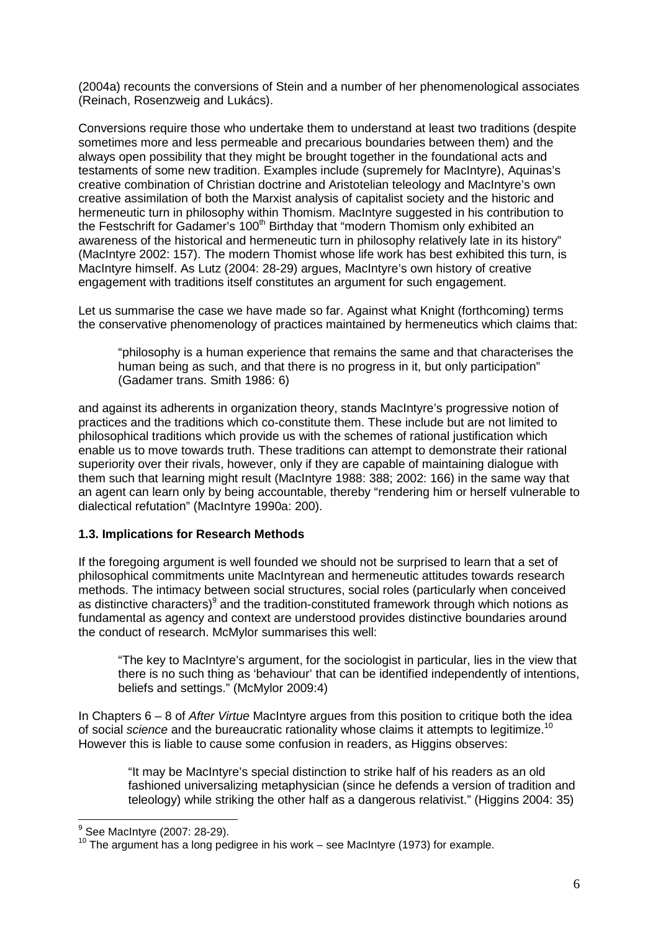(2004a) recounts the conversions of Stein and a number of her phenomenological associates (Reinach, Rosenzweig and Lukács).

Conversions require those who undertake them to understand at least two traditions (despite sometimes more and less permeable and precarious boundaries between them) and the always open possibility that they might be brought together in the foundational acts and testaments of some new tradition. Examples include (supremely for MacIntyre), Aquinas's creative combination of Christian doctrine and Aristotelian teleology and MacIntyre's own creative assimilation of both the Marxist analysis of capitalist society and the historic and hermeneutic turn in philosophy within Thomism. MacIntyre suggested in his contribution to the Festschrift for Gadamer's 100<sup>th</sup> Birthday that "modern Thomism only exhibited an awareness of the historical and hermeneutic turn in philosophy relatively late in its history" (MacIntyre 2002: 157). The modern Thomist whose life work has best exhibited this turn, is MacIntyre himself. As Lutz (2004: 28-29) argues, MacIntyre's own history of creative engagement with traditions itself constitutes an argument for such engagement.

Let us summarise the case we have made so far. Against what Knight (forthcoming) terms the conservative phenomenology of practices maintained by hermeneutics which claims that:

 "philosophy is a human experience that remains the same and that characterises the human being as such, and that there is no progress in it, but only participation" (Gadamer trans. Smith 1986: 6)

and against its adherents in organization theory, stands MacIntyre's progressive notion of practices and the traditions which co-constitute them. These include but are not limited to philosophical traditions which provide us with the schemes of rational justification which enable us to move towards truth. These traditions can attempt to demonstrate their rational superiority over their rivals, however, only if they are capable of maintaining dialogue with them such that learning might result (MacIntyre 1988: 388; 2002: 166) in the same way that an agent can learn only by being accountable, thereby "rendering him or herself vulnerable to dialectical refutation" (MacIntyre 1990a: 200).

#### **1.3. Implications for Research Methods**

If the foregoing argument is well founded we should not be surprised to learn that a set of philosophical commitments unite MacIntyrean and hermeneutic attitudes towards research methods. The intimacy between social structures, social roles (particularly when conceived as distinctive characters) $9$  and the tradition-constituted framework through which notions as fundamental as agency and context are understood provides distinctive boundaries around the conduct of research. McMylor summarises this well:

 "The key to MacIntyre's argument, for the sociologist in particular, lies in the view that there is no such thing as 'behaviour' that can be identified independently of intentions, beliefs and settings." (McMylor 2009:4)

In Chapters  $6 - 8$  of After Virtue MacIntyre argues from this position to critique both the idea of social science and the bureaucratic rationality whose claims it attempts to legitimize.<sup>10</sup> However this is liable to cause some confusion in readers, as Higgins observes:

 "It may be MacIntyre's special distinction to strike half of his readers as an old fashioned universalizing metaphysician (since he defends a version of tradition and teleology) while striking the other half as a dangerous relativist." (Higgins 2004: 35)

<sup>&</sup>lt;u>。</u><br><sup>9</sup> See MacIntyre (2007: 28-29).

<sup>&</sup>lt;sup>10</sup> The argument has a long pedigree in his work – see MacIntyre (1973) for example.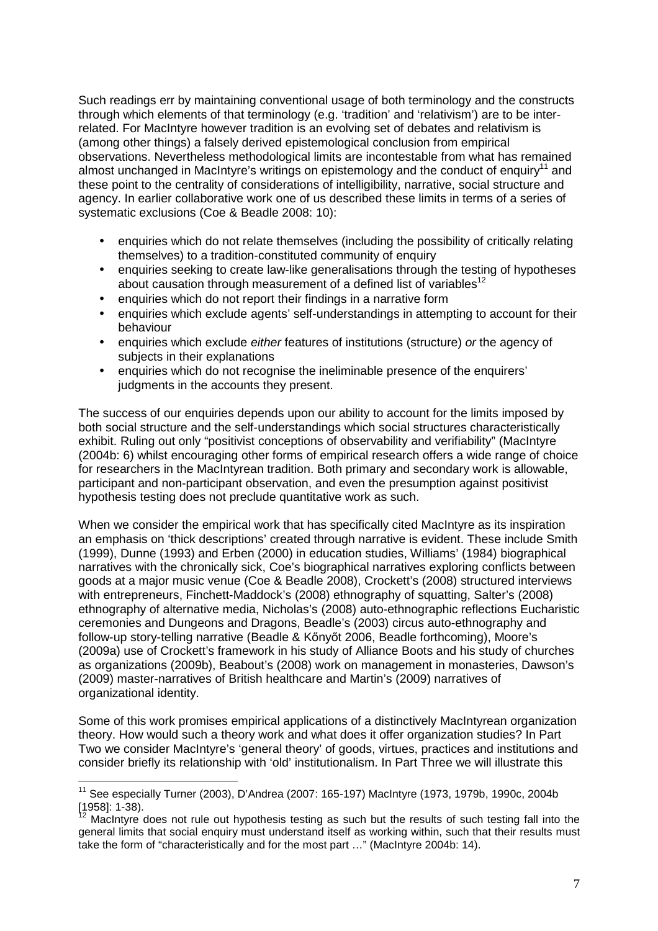Such readings err by maintaining conventional usage of both terminology and the constructs through which elements of that terminology (e.g. 'tradition' and 'relativism') are to be interrelated. For MacIntyre however tradition is an evolving set of debates and relativism is (among other things) a falsely derived epistemological conclusion from empirical observations. Nevertheless methodological limits are incontestable from what has remained almost unchanged in MacIntyre's writings on epistemology and the conduct of enguiry<sup>11</sup> and these point to the centrality of considerations of intelligibility, narrative, social structure and agency. In earlier collaborative work one of us described these limits in terms of a series of systematic exclusions (Coe & Beadle 2008: 10):

- enquiries which do not relate themselves (including the possibility of critically relating themselves) to a tradition-constituted community of enquiry
- enquiries seeking to create law-like generalisations through the testing of hypotheses about causation through measurement of a defined list of variables<sup>12</sup>
- enquiries which do not report their findings in a narrative form
- enquiries which exclude agents' self-understandings in attempting to account for their behaviour
- enquiries which exclude either features of institutions (structure) or the agency of subjects in their explanations
- enquiries which do not recognise the ineliminable presence of the enquirers' judgments in the accounts they present.

The success of our enquiries depends upon our ability to account for the limits imposed by both social structure and the self-understandings which social structures characteristically exhibit. Ruling out only "positivist conceptions of observability and verifiability" (MacIntyre (2004b: 6) whilst encouraging other forms of empirical research offers a wide range of choice for researchers in the MacIntyrean tradition. Both primary and secondary work is allowable, participant and non-participant observation, and even the presumption against positivist hypothesis testing does not preclude quantitative work as such.

When we consider the empirical work that has specifically cited MacIntyre as its inspiration an emphasis on 'thick descriptions' created through narrative is evident. These include Smith (1999), Dunne (1993) and Erben (2000) in education studies, Williams' (1984) biographical narratives with the chronically sick, Coe's biographical narratives exploring conflicts between goods at a major music venue (Coe & Beadle 2008), Crockett's (2008) structured interviews with entrepreneurs, Finchett-Maddock's (2008) ethnography of squatting, Salter's (2008) ethnography of alternative media, Nicholas's (2008) auto-ethnographic reflections Eucharistic ceremonies and Dungeons and Dragons, Beadle's (2003) circus auto-ethnography and follow-up story-telling narrative (Beadle & Kőnyőt 2006, Beadle forthcoming), Moore's (2009a) use of Crockett's framework in his study of Alliance Boots and his study of churches as organizations (2009b), Beabout's (2008) work on management in monasteries, Dawson's (2009) master-narratives of British healthcare and Martin's (2009) narratives of organizational identity.

Some of this work promises empirical applications of a distinctively MacIntyrean organization theory. How would such a theory work and what does it offer organization studies? In Part Two we consider MacIntyre's 'general theory' of goods, virtues, practices and institutions and consider briefly its relationship with 'old' institutionalism. In Part Three we will illustrate this

 $11$  See especially Turner (2003), D'Andrea (2007: 165-197) MacIntyre (1973, 1979b, 1990c, 2004b [1958]: 1-38).

MacIntyre does not rule out hypothesis testing as such but the results of such testing fall into the general limits that social enquiry must understand itself as working within, such that their results must take the form of "characteristically and for the most part …" (MacIntyre 2004b: 14).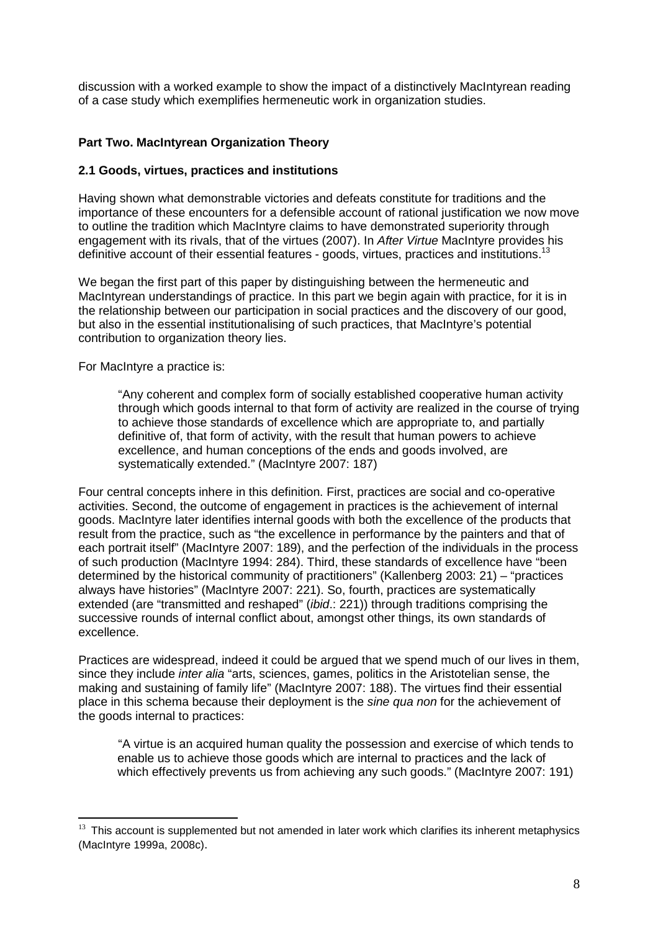discussion with a worked example to show the impact of a distinctively MacIntyrean reading of a case study which exemplifies hermeneutic work in organization studies.

## **Part Two. MacIntyrean Organization Theory**

#### **2.1 Goods, virtues, practices and institutions**

Having shown what demonstrable victories and defeats constitute for traditions and the importance of these encounters for a defensible account of rational justification we now move to outline the tradition which MacIntyre claims to have demonstrated superiority through engagement with its rivals, that of the virtues (2007). In After Virtue MacIntyre provides his definitive account of their essential features - goods, virtues, practices and institutions.<sup>13</sup>

We began the first part of this paper by distinguishing between the hermeneutic and MacIntyrean understandings of practice. In this part we begin again with practice, for it is in the relationship between our participation in social practices and the discovery of our good, but also in the essential institutionalising of such practices, that MacIntyre's potential contribution to organization theory lies.

For MacIntyre a practice is:

 $\overline{a}$ 

"Any coherent and complex form of socially established cooperative human activity through which goods internal to that form of activity are realized in the course of trying to achieve those standards of excellence which are appropriate to, and partially definitive of, that form of activity, with the result that human powers to achieve excellence, and human conceptions of the ends and goods involved, are systematically extended." (MacIntyre 2007: 187)

Four central concepts inhere in this definition. First, practices are social and co-operative activities. Second, the outcome of engagement in practices is the achievement of internal goods. MacIntyre later identifies internal goods with both the excellence of the products that result from the practice, such as "the excellence in performance by the painters and that of each portrait itself" (MacIntyre 2007: 189), and the perfection of the individuals in the process of such production (MacIntyre 1994: 284). Third, these standards of excellence have "been determined by the historical community of practitioners" (Kallenberg 2003: 21) – "practices always have histories" (MacIntyre 2007: 221). So, fourth, practices are systematically extended (are "transmitted and reshaped" (*ibid.*: 221)) through traditions comprising the successive rounds of internal conflict about, amongst other things, its own standards of excellence.

Practices are widespread, indeed it could be argued that we spend much of our lives in them, since they include *inter alia* "arts, sciences, games, politics in the Aristotelian sense, the making and sustaining of family life" (MacIntyre 2007: 188). The virtues find their essential place in this schema because their deployment is the sine qua non for the achievement of the goods internal to practices:

"A virtue is an acquired human quality the possession and exercise of which tends to enable us to achieve those goods which are internal to practices and the lack of which effectively prevents us from achieving any such goods." (MacIntyre 2007: 191)

<sup>&</sup>lt;sup>13</sup> This account is supplemented but not amended in later work which clarifies its inherent metaphysics (MacIntyre 1999a, 2008c).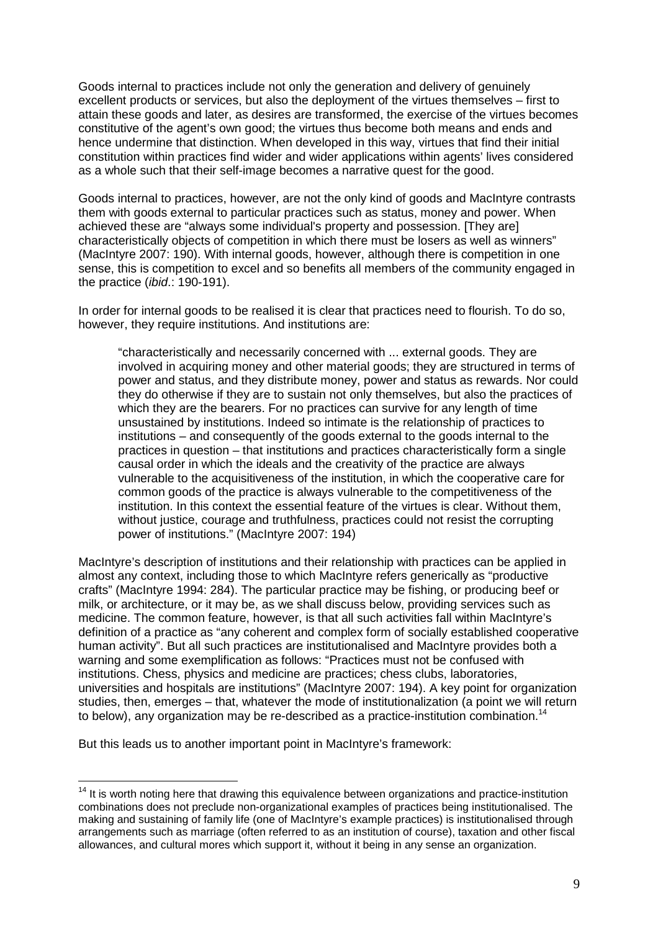Goods internal to practices include not only the generation and delivery of genuinely excellent products or services, but also the deployment of the virtues themselves – first to attain these goods and later, as desires are transformed, the exercise of the virtues becomes constitutive of the agent's own good; the virtues thus become both means and ends and hence undermine that distinction. When developed in this way, virtues that find their initial constitution within practices find wider and wider applications within agents' lives considered as a whole such that their self-image becomes a narrative quest for the good.

Goods internal to practices, however, are not the only kind of goods and MacIntyre contrasts them with goods external to particular practices such as status, money and power. When achieved these are "always some individual's property and possession. [They are] characteristically objects of competition in which there must be losers as well as winners" (MacIntyre 2007: 190). With internal goods, however, although there is competition in one sense, this is competition to excel and so benefits all members of the community engaged in the practice (ibid.: 190-191).

In order for internal goods to be realised it is clear that practices need to flourish. To do so, however, they require institutions. And institutions are:

"characteristically and necessarily concerned with ... external goods. They are involved in acquiring money and other material goods; they are structured in terms of power and status, and they distribute money, power and status as rewards. Nor could they do otherwise if they are to sustain not only themselves, but also the practices of which they are the bearers. For no practices can survive for any length of time unsustained by institutions. Indeed so intimate is the relationship of practices to institutions – and consequently of the goods external to the goods internal to the practices in question – that institutions and practices characteristically form a single causal order in which the ideals and the creativity of the practice are always vulnerable to the acquisitiveness of the institution, in which the cooperative care for common goods of the practice is always vulnerable to the competitiveness of the institution. In this context the essential feature of the virtues is clear. Without them, without justice, courage and truthfulness, practices could not resist the corrupting power of institutions." (MacIntyre 2007: 194)

MacIntyre's description of institutions and their relationship with practices can be applied in almost any context, including those to which MacIntyre refers generically as "productive crafts" (MacIntyre 1994: 284). The particular practice may be fishing, or producing beef or milk, or architecture, or it may be, as we shall discuss below, providing services such as medicine. The common feature, however, is that all such activities fall within MacIntyre's definition of a practice as "any coherent and complex form of socially established cooperative human activity". But all such practices are institutionalised and MacIntyre provides both a warning and some exemplification as follows: "Practices must not be confused with institutions. Chess, physics and medicine are practices; chess clubs, laboratories, universities and hospitals are institutions" (MacIntyre 2007: 194). A key point for organization studies, then, emerges – that, whatever the mode of institutionalization (a point we will return to below), any organization may be re-described as a practice-institution combination.<sup>14</sup>

But this leads us to another important point in MacIntyre's framework:

 $\overline{a}$  $14$  It is worth noting here that drawing this equivalence between organizations and practice-institution combinations does not preclude non-organizational examples of practices being institutionalised. The making and sustaining of family life (one of MacIntyre's example practices) is institutionalised through arrangements such as marriage (often referred to as an institution of course), taxation and other fiscal allowances, and cultural mores which support it, without it being in any sense an organization.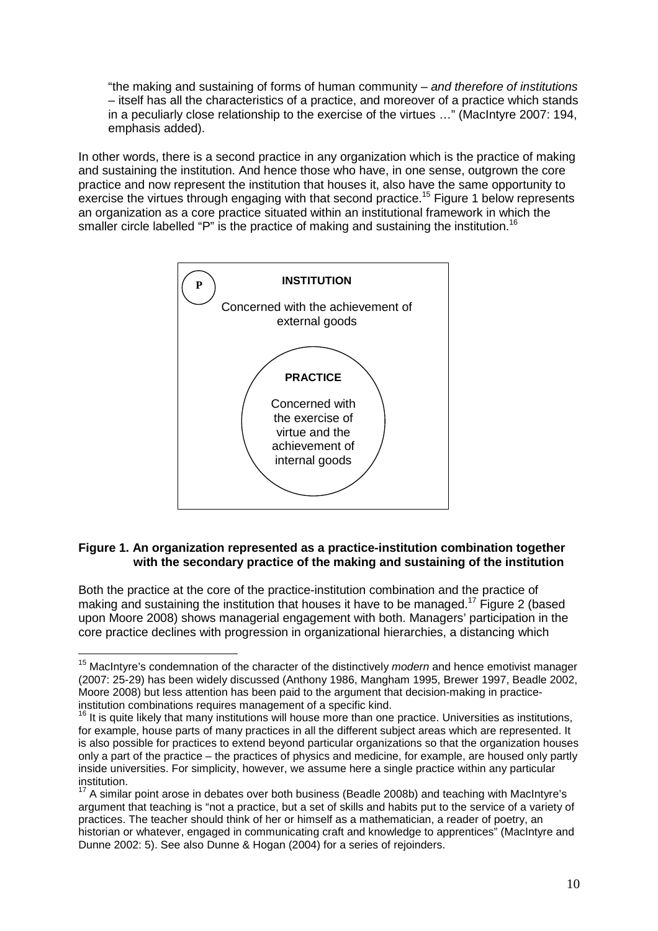"the making and sustaining of forms of human community – and therefore of institutions – itself has all the characteristics of a practice, and moreover of a practice which stands in a peculiarly close relationship to the exercise of the virtues …" (MacIntyre 2007: 194, emphasis added).

In other words, there is a second practice in any organization which is the practice of making and sustaining the institution. And hence those who have, in one sense, outgrown the core practice and now represent the institution that houses it, also have the same opportunity to exercise the virtues through engaging with that second practice.<sup>15</sup> Figure 1 below represents an organization as a core practice situated within an institutional framework in which the smaller circle labelled "P" is the practice of making and sustaining the institution.<sup>16</sup>



#### **Figure 1. An organization represented as a practice-institution combination together with the secondary practice of the making and sustaining of the institution**

Both the practice at the core of the practice-institution combination and the practice of making and sustaining the institution that houses it have to be managed.<sup>17</sup> Figure 2 (based upon Moore 2008) shows managerial engagement with both. Managers' participation in the core practice declines with progression in organizational hierarchies, a distancing which

 $\overline{a}$  $15$  MacIntyre's condemnation of the character of the distinctively *modern* and hence emotivist manager (2007: 25-29) has been widely discussed (Anthony 1986, Mangham 1995, Brewer 1997, Beadle 2002, Moore 2008) but less attention has been paid to the argument that decision-making in practiceinstitution combinations requires management of a specific kind.

 $16$  It is quite likely that many institutions will house more than one practice. Universities as institutions, for example, house parts of many practices in all the different subject areas which are represented. It is also possible for practices to extend beyond particular organizations so that the organization houses only a part of the practice – the practices of physics and medicine, for example, are housed only partly inside universities. For simplicity, however, we assume here a single practice within any particular institution.

 $17$  A similar point arose in debates over both business (Beadle 2008b) and teaching with MacIntyre's argument that teaching is "not a practice, but a set of skills and habits put to the service of a variety of practices. The teacher should think of her or himself as a mathematician, a reader of poetry, an historian or whatever, engaged in communicating craft and knowledge to apprentices" (MacIntyre and Dunne 2002: 5). See also Dunne & Hogan (2004) for a series of rejoinders.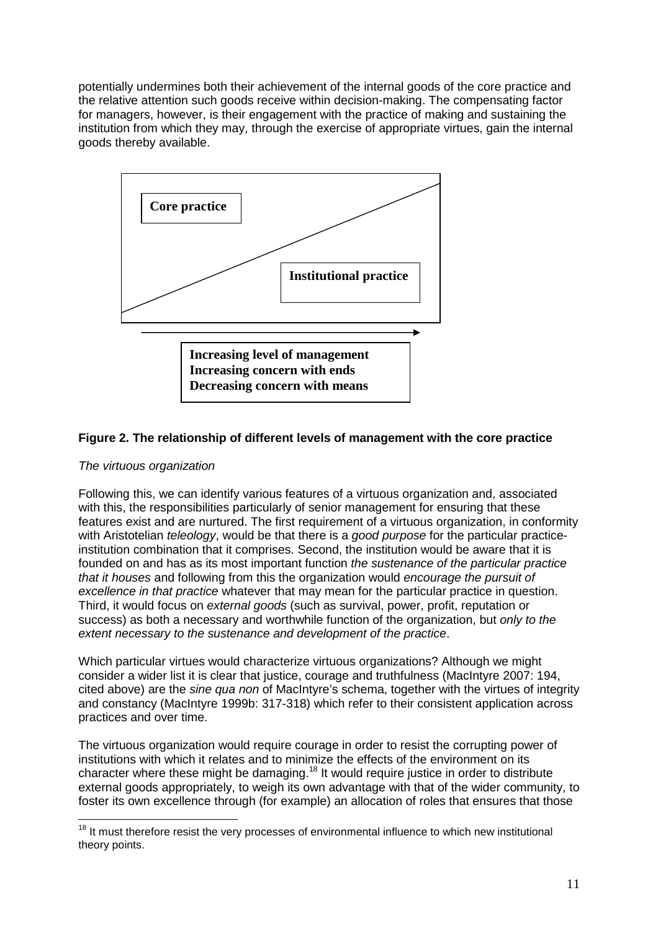potentially undermines both their achievement of the internal goods of the core practice and the relative attention such goods receive within decision-making. The compensating factor for managers, however, is their engagement with the practice of making and sustaining the institution from which they may, through the exercise of appropriate virtues, gain the internal goods thereby available.



## **Figure 2. The relationship of different levels of management with the core practice**

#### The virtuous organization

Following this, we can identify various features of a virtuous organization and, associated with this, the responsibilities particularly of senior management for ensuring that these features exist and are nurtured. The first requirement of a virtuous organization, in conformity with Aristotelian teleology, would be that there is a good purpose for the particular practiceinstitution combination that it comprises. Second, the institution would be aware that it is founded on and has as its most important function the sustenance of the particular practice that it houses and following from this the organization would encourage the pursuit of excellence in that practice whatever that may mean for the particular practice in question. Third, it would focus on external goods (such as survival, power, profit, reputation or success) as both a necessary and worthwhile function of the organization, but only to the extent necessary to the sustenance and development of the practice.

Which particular virtues would characterize virtuous organizations? Although we might consider a wider list it is clear that justice, courage and truthfulness (MacIntyre 2007: 194, cited above) are the sine qua non of MacIntyre's schema, together with the virtues of integrity and constancy (MacIntyre 1999b: 317-318) which refer to their consistent application across practices and over time.

The virtuous organization would require courage in order to resist the corrupting power of institutions with which it relates and to minimize the effects of the environment on its character where these might be damaging.<sup>18</sup> It would require justice in order to distribute external goods appropriately, to weigh its own advantage with that of the wider community, to foster its own excellence through (for example) an allocation of roles that ensures that those

 $\overline{a}$  $18$  It must therefore resist the very processes of environmental influence to which new institutional theory points.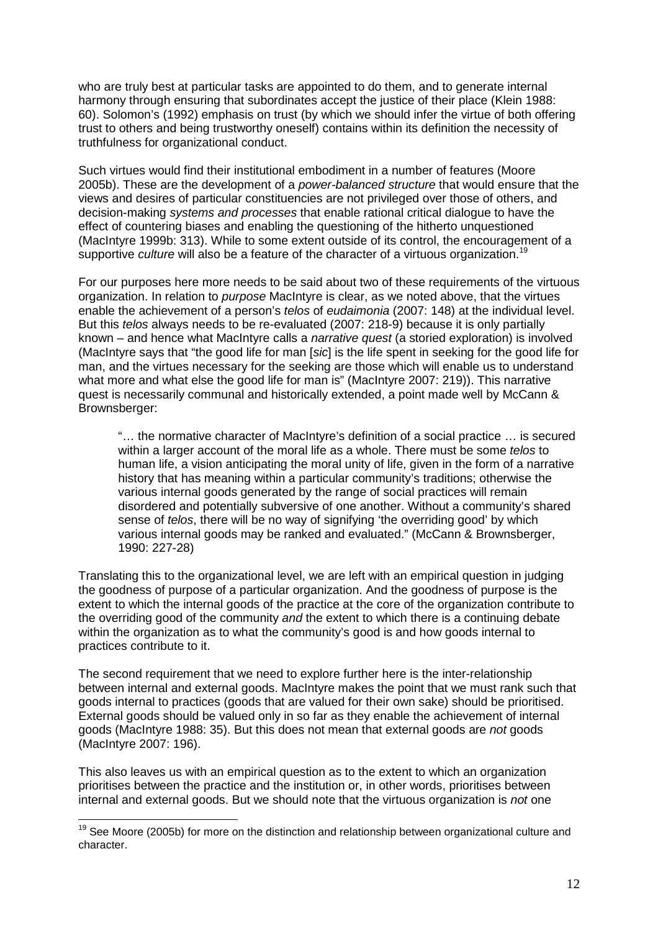who are truly best at particular tasks are appointed to do them, and to generate internal harmony through ensuring that subordinates accept the justice of their place (Klein 1988: 60). Solomon's (1992) emphasis on trust (by which we should infer the virtue of both offering trust to others and being trustworthy oneself) contains within its definition the necessity of truthfulness for organizational conduct.

Such virtues would find their institutional embodiment in a number of features (Moore 2005b). These are the development of a power-balanced structure that would ensure that the views and desires of particular constituencies are not privileged over those of others, and decision-making systems and processes that enable rational critical dialogue to have the effect of countering biases and enabling the questioning of the hitherto unquestioned (MacIntyre 1999b: 313). While to some extent outside of its control, the encouragement of a supportive culture will also be a feature of the character of a virtuous organization.<sup>19</sup>

For our purposes here more needs to be said about two of these requirements of the virtuous organization. In relation to purpose MacIntyre is clear, as we noted above, that the virtues enable the achievement of a person's telos of eudaimonia (2007: 148) at the individual level. But this telos always needs to be re-evaluated (2007: 218-9) because it is only partially known – and hence what MacIntyre calls a *narrative quest* (a storied exploration) is involved (MacIntyre says that "the good life for man [sic] is the life spent in seeking for the good life for man, and the virtues necessary for the seeking are those which will enable us to understand what more and what else the good life for man is" (MacIntyre 2007: 219)). This narrative quest is necessarily communal and historically extended, a point made well by McCann & Brownsberger:

"… the normative character of MacIntyre's definition of a social practice … is secured within a larger account of the moral life as a whole. There must be some telos to human life, a vision anticipating the moral unity of life, given in the form of a narrative history that has meaning within a particular community's traditions; otherwise the various internal goods generated by the range of social practices will remain disordered and potentially subversive of one another. Without a community's shared sense of telos, there will be no way of signifying 'the overriding good' by which various internal goods may be ranked and evaluated." (McCann & Brownsberger, 1990: 227-28)

Translating this to the organizational level, we are left with an empirical question in judging the goodness of purpose of a particular organization. And the goodness of purpose is the extent to which the internal goods of the practice at the core of the organization contribute to the overriding good of the community and the extent to which there is a continuing debate within the organization as to what the community's good is and how goods internal to practices contribute to it.

The second requirement that we need to explore further here is the inter-relationship between internal and external goods. MacIntyre makes the point that we must rank such that goods internal to practices (goods that are valued for their own sake) should be prioritised. External goods should be valued only in so far as they enable the achievement of internal goods (MacIntyre 1988: 35). But this does not mean that external goods are not goods (MacIntyre 2007: 196).

This also leaves us with an empirical question as to the extent to which an organization prioritises between the practice and the institution or, in other words, prioritises between internal and external goods. But we should note that the virtuous organization is not one

 $19$  See Moore (2005b) for more on the distinction and relationship between organizational culture and character.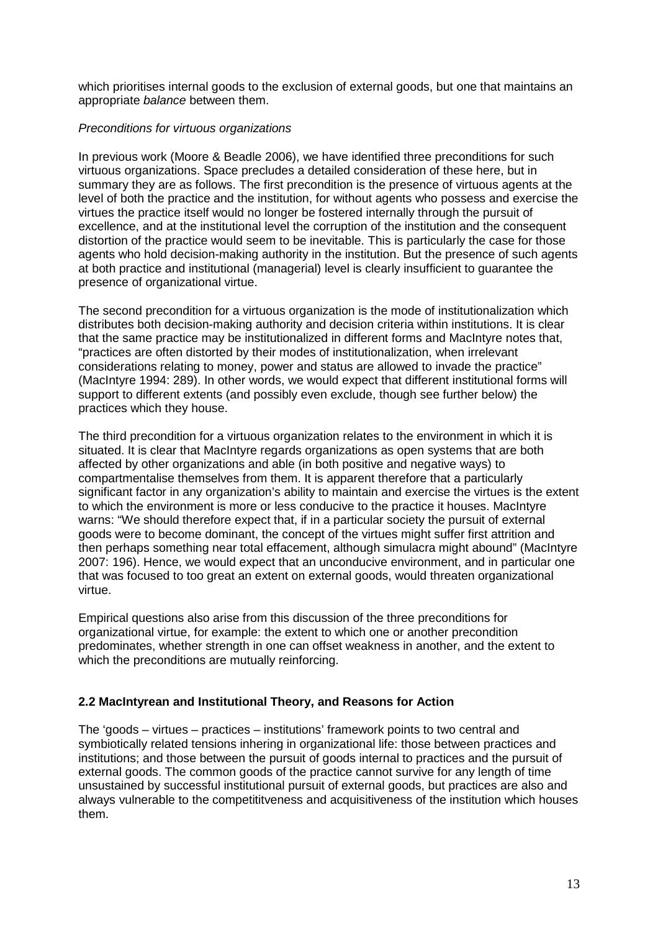which prioritises internal goods to the exclusion of external goods, but one that maintains an appropriate balance between them.

## Preconditions for virtuous organizations

In previous work (Moore & Beadle 2006), we have identified three preconditions for such virtuous organizations. Space precludes a detailed consideration of these here, but in summary they are as follows. The first precondition is the presence of virtuous agents at the level of both the practice and the institution, for without agents who possess and exercise the virtues the practice itself would no longer be fostered internally through the pursuit of excellence, and at the institutional level the corruption of the institution and the consequent distortion of the practice would seem to be inevitable. This is particularly the case for those agents who hold decision-making authority in the institution. But the presence of such agents at both practice and institutional (managerial) level is clearly insufficient to guarantee the presence of organizational virtue.

The second precondition for a virtuous organization is the mode of institutionalization which distributes both decision-making authority and decision criteria within institutions. It is clear that the same practice may be institutionalized in different forms and MacIntyre notes that, "practices are often distorted by their modes of institutionalization, when irrelevant considerations relating to money, power and status are allowed to invade the practice" (MacIntyre 1994: 289). In other words, we would expect that different institutional forms will support to different extents (and possibly even exclude, though see further below) the practices which they house.

The third precondition for a virtuous organization relates to the environment in which it is situated. It is clear that MacIntyre regards organizations as open systems that are both affected by other organizations and able (in both positive and negative ways) to compartmentalise themselves from them. It is apparent therefore that a particularly significant factor in any organization's ability to maintain and exercise the virtues is the extent to which the environment is more or less conducive to the practice it houses. MacIntyre warns: "We should therefore expect that, if in a particular society the pursuit of external goods were to become dominant, the concept of the virtues might suffer first attrition and then perhaps something near total effacement, although simulacra might abound" (MacIntyre 2007: 196). Hence, we would expect that an unconducive environment, and in particular one that was focused to too great an extent on external goods, would threaten organizational virtue.

Empirical questions also arise from this discussion of the three preconditions for organizational virtue, for example: the extent to which one or another precondition predominates, whether strength in one can offset weakness in another, and the extent to which the preconditions are mutually reinforcing.

# **2.2 MacIntyrean and Institutional Theory, and Reasons for Action**

The 'goods – virtues – practices – institutions' framework points to two central and symbiotically related tensions inhering in organizational life: those between practices and institutions; and those between the pursuit of goods internal to practices and the pursuit of external goods. The common goods of the practice cannot survive for any length of time unsustained by successful institutional pursuit of external goods, but practices are also and always vulnerable to the competititveness and acquisitiveness of the institution which houses them.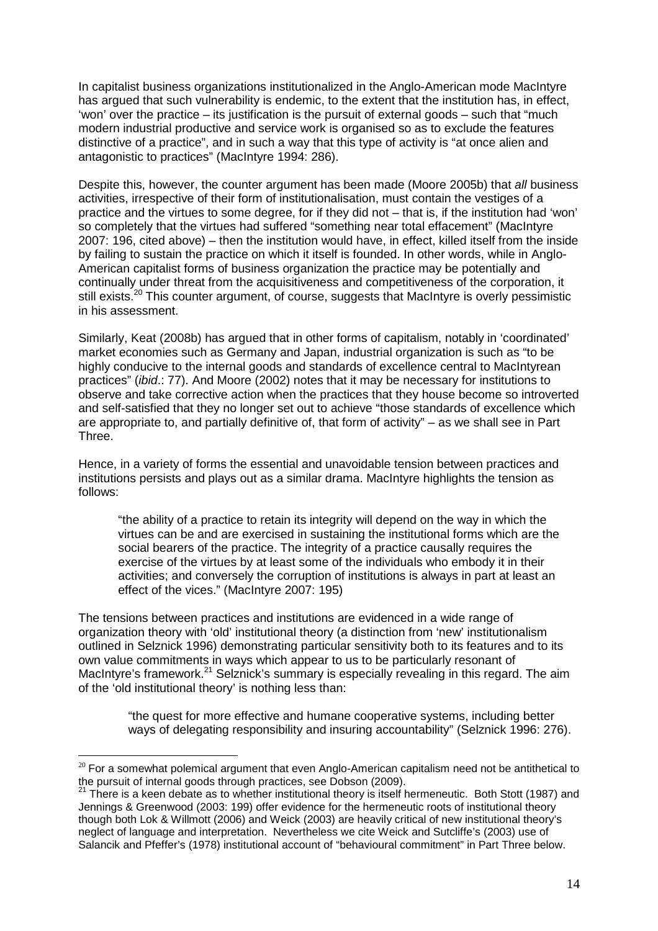In capitalist business organizations institutionalized in the Anglo-American mode MacIntyre has argued that such vulnerability is endemic, to the extent that the institution has, in effect, 'won' over the practice – its justification is the pursuit of external goods – such that "much modern industrial productive and service work is organised so as to exclude the features distinctive of a practice", and in such a way that this type of activity is "at once alien and antagonistic to practices" (MacIntyre 1994: 286).

Despite this, however, the counter argument has been made (Moore 2005b) that all business activities, irrespective of their form of institutionalisation, must contain the vestiges of a practice and the virtues to some degree, for if they did not – that is, if the institution had 'won' so completely that the virtues had suffered "something near total effacement" (MacIntyre 2007: 196, cited above) – then the institution would have, in effect, killed itself from the inside by failing to sustain the practice on which it itself is founded. In other words, while in Anglo-American capitalist forms of business organization the practice may be potentially and continually under threat from the acquisitiveness and competitiveness of the corporation, it still exists.<sup>20</sup> This counter argument, of course, suggests that MacIntyre is overly pessimistic in his assessment.

Similarly, Keat (2008b) has argued that in other forms of capitalism, notably in 'coordinated' market economies such as Germany and Japan, industrial organization is such as "to be highly conducive to the internal goods and standards of excellence central to MacIntyrean practices" (ibid.: 77). And Moore (2002) notes that it may be necessary for institutions to observe and take corrective action when the practices that they house become so introverted and self-satisfied that they no longer set out to achieve "those standards of excellence which are appropriate to, and partially definitive of, that form of activity" – as we shall see in Part Three.

Hence, in a variety of forms the essential and unavoidable tension between practices and institutions persists and plays out as a similar drama. MacIntyre highlights the tension as follows:

"the ability of a practice to retain its integrity will depend on the way in which the virtues can be and are exercised in sustaining the institutional forms which are the social bearers of the practice. The integrity of a practice causally requires the exercise of the virtues by at least some of the individuals who embody it in their activities; and conversely the corruption of institutions is always in part at least an effect of the vices." (MacIntyre 2007: 195)

The tensions between practices and institutions are evidenced in a wide range of organization theory with 'old' institutional theory (a distinction from 'new' institutionalism outlined in Selznick 1996) demonstrating particular sensitivity both to its features and to its own value commitments in ways which appear to us to be particularly resonant of MacIntvre's framework.<sup>21</sup> Selznick's summary is especially revealing in this regard. The aim of the 'old institutional theory' is nothing less than:

> "the quest for more effective and humane cooperative systems, including better ways of delegating responsibility and insuring accountability" (Selznick 1996: 276).

 $20$  For a somewhat polemical argument that even Anglo-American capitalism need not be antithetical to the pursuit of internal goods through practices, see Dobson (2009).

 $21$  There is a keen debate as to whether institutional theory is itself hermeneutic. Both Stott (1987) and Jennings & Greenwood (2003: 199) offer evidence for the hermeneutic roots of institutional theory though both Lok & Willmott (2006) and Weick (2003) are heavily critical of new institutional theory's neglect of language and interpretation. Nevertheless we cite Weick and Sutcliffe's (2003) use of Salancik and Pfeffer's (1978) institutional account of "behavioural commitment" in Part Three below.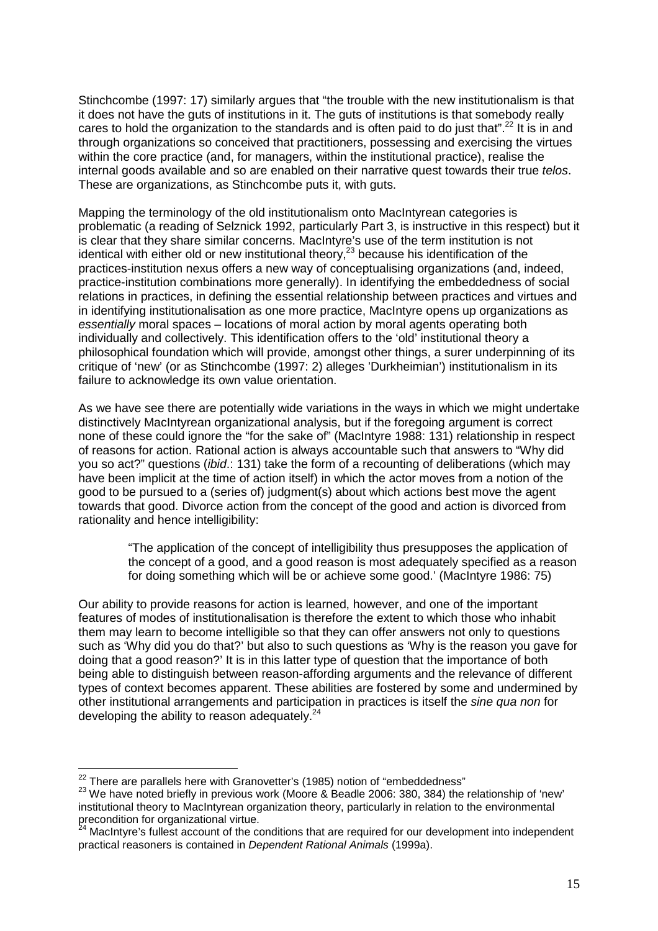Stinchcombe (1997: 17) similarly argues that "the trouble with the new institutionalism is that it does not have the guts of institutions in it. The guts of institutions is that somebody really cares to hold the organization to the standards and is often paid to do just that".<sup>22</sup> It is in and through organizations so conceived that practitioners, possessing and exercising the virtues within the core practice (and, for managers, within the institutional practice), realise the internal goods available and so are enabled on their narrative quest towards their true telos. These are organizations, as Stinchcombe puts it, with guts.

Mapping the terminology of the old institutionalism onto MacIntyrean categories is problematic (a reading of Selznick 1992, particularly Part 3, is instructive in this respect) but it is clear that they share similar concerns. MacIntyre's use of the term institution is not identical with either old or new institutional theory,<sup>23</sup> because his identification of the practices-institution nexus offers a new way of conceptualising organizations (and, indeed, practice-institution combinations more generally). In identifying the embeddedness of social relations in practices, in defining the essential relationship between practices and virtues and in identifying institutionalisation as one more practice, MacIntyre opens up organizations as essentially moral spaces – locations of moral action by moral agents operating both individually and collectively. This identification offers to the 'old' institutional theory a philosophical foundation which will provide, amongst other things, a surer underpinning of its critique of 'new' (or as Stinchcombe (1997: 2) alleges 'Durkheimian') institutionalism in its failure to acknowledge its own value orientation.

As we have see there are potentially wide variations in the ways in which we might undertake distinctively MacIntyrean organizational analysis, but if the foregoing argument is correct none of these could ignore the "for the sake of" (MacIntyre 1988: 131) relationship in respect of reasons for action. Rational action is always accountable such that answers to "Why did you so act?" questions (*ibid.*: 131) take the form of a recounting of deliberations (which may have been implicit at the time of action itself) in which the actor moves from a notion of the good to be pursued to a (series of) judgment(s) about which actions best move the agent towards that good. Divorce action from the concept of the good and action is divorced from rationality and hence intelligibility:

"The application of the concept of intelligibility thus presupposes the application of the concept of a good, and a good reason is most adequately specified as a reason for doing something which will be or achieve some good.' (MacIntyre 1986: 75)

Our ability to provide reasons for action is learned, however, and one of the important features of modes of institutionalisation is therefore the extent to which those who inhabit them may learn to become intelligible so that they can offer answers not only to questions such as 'Why did you do that?' but also to such questions as 'Why is the reason you gave for doing that a good reason?' It is in this latter type of question that the importance of both being able to distinguish between reason-affording arguments and the relevance of different types of context becomes apparent. These abilities are fostered by some and undermined by other institutional arrangements and participation in practices is itself the sine qua non for developing the ability to reason adequately. $24$ 

 $^{22}$  There are parallels here with Granovetter's (1985) notion of "embeddedness"

<sup>&</sup>lt;sup>23</sup> We have noted briefly in previous work (Moore & Beadle 2006: 380, 384) the relationship of 'new' institutional theory to MacIntyrean organization theory, particularly in relation to the environmental precondition for organizational virtue.

<sup>&</sup>lt;sup>24</sup> MacIntyre's fullest account of the conditions that are required for our development into independent practical reasoners is contained in Dependent Rational Animals (1999a).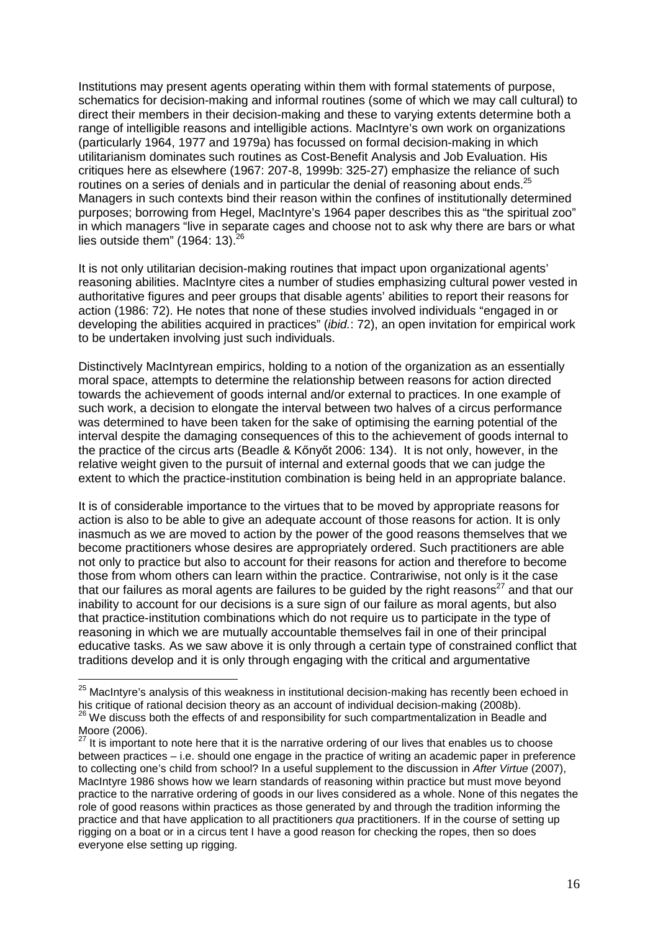Institutions may present agents operating within them with formal statements of purpose, schematics for decision-making and informal routines (some of which we may call cultural) to direct their members in their decision-making and these to varying extents determine both a range of intelligible reasons and intelligible actions. MacIntyre's own work on organizations (particularly 1964, 1977 and 1979a) has focussed on formal decision-making in which utilitarianism dominates such routines as Cost-Benefit Analysis and Job Evaluation. His critiques here as elsewhere (1967: 207-8, 1999b: 325-27) emphasize the reliance of such routines on a series of denials and in particular the denial of reasoning about ends. $^{25}$ Managers in such contexts bind their reason within the confines of institutionally determined purposes; borrowing from Hegel, MacIntyre's 1964 paper describes this as "the spiritual zoo" in which managers "live in separate cages and choose not to ask why there are bars or what lies outside them" (1964: 13). $^{26}$ 

It is not only utilitarian decision-making routines that impact upon organizational agents' reasoning abilities. MacIntyre cites a number of studies emphasizing cultural power vested in authoritative figures and peer groups that disable agents' abilities to report their reasons for action (1986: 72). He notes that none of these studies involved individuals "engaged in or developing the abilities acquired in practices" (*ibid.*: 72), an open invitation for empirical work to be undertaken involving just such individuals.

Distinctively MacIntyrean empirics, holding to a notion of the organization as an essentially moral space, attempts to determine the relationship between reasons for action directed towards the achievement of goods internal and/or external to practices. In one example of such work, a decision to elongate the interval between two halves of a circus performance was determined to have been taken for the sake of optimising the earning potential of the interval despite the damaging consequences of this to the achievement of goods internal to the practice of the circus arts (Beadle & Kőnyőt 2006: 134). It is not only, however, in the relative weight given to the pursuit of internal and external goods that we can judge the extent to which the practice-institution combination is being held in an appropriate balance.

It is of considerable importance to the virtues that to be moved by appropriate reasons for action is also to be able to give an adequate account of those reasons for action. It is only inasmuch as we are moved to action by the power of the good reasons themselves that we become practitioners whose desires are appropriately ordered. Such practitioners are able not only to practice but also to account for their reasons for action and therefore to become those from whom others can learn within the practice. Contrariwise, not only is it the case that our failures as moral agents are failures to be guided by the right reasons<sup>27</sup> and that our inability to account for our decisions is a sure sign of our failure as moral agents, but also that practice-institution combinations which do not require us to participate in the type of reasoning in which we are mutually accountable themselves fail in one of their principal educative tasks. As we saw above it is only through a certain type of constrained conflict that traditions develop and it is only through engaging with the critical and argumentative

 $^{25}$  MacIntyre's analysis of this weakness in institutional decision-making has recently been echoed in his critique of rational decision theory as an account of individual decision-making (2008b).  $26$  We discuss both the effects of and responsibility for such compartmentalization in Beadle and Moore (2006).

It is important to note here that it is the narrative ordering of our lives that enables us to choose between practices – i.e. should one engage in the practice of writing an academic paper in preference to collecting one's child from school? In a useful supplement to the discussion in After Virtue (2007), MacIntyre 1986 shows how we learn standards of reasoning within practice but must move beyond practice to the narrative ordering of goods in our lives considered as a whole. None of this negates the role of good reasons within practices as those generated by and through the tradition informing the practice and that have application to all practitioners qua practitioners. If in the course of setting up rigging on a boat or in a circus tent I have a good reason for checking the ropes, then so does everyone else setting up rigging.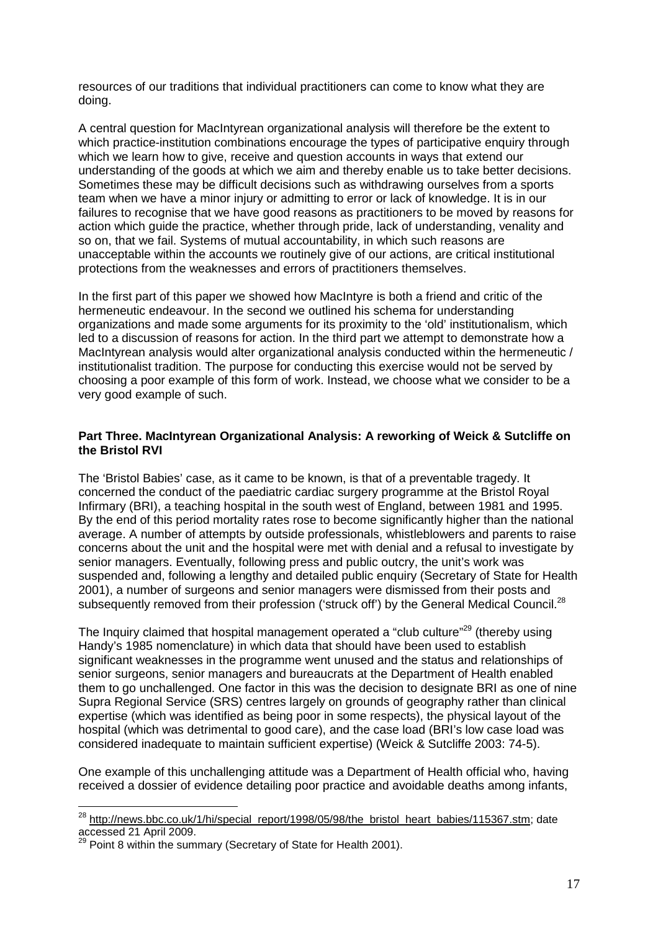resources of our traditions that individual practitioners can come to know what they are doing.

A central question for MacIntyrean organizational analysis will therefore be the extent to which practice-institution combinations encourage the types of participative enquiry through which we learn how to give, receive and question accounts in ways that extend our understanding of the goods at which we aim and thereby enable us to take better decisions. Sometimes these may be difficult decisions such as withdrawing ourselves from a sports team when we have a minor injury or admitting to error or lack of knowledge. It is in our failures to recognise that we have good reasons as practitioners to be moved by reasons for action which guide the practice, whether through pride, lack of understanding, venality and so on, that we fail. Systems of mutual accountability, in which such reasons are unacceptable within the accounts we routinely give of our actions, are critical institutional protections from the weaknesses and errors of practitioners themselves.

In the first part of this paper we showed how MacIntyre is both a friend and critic of the hermeneutic endeavour. In the second we outlined his schema for understanding organizations and made some arguments for its proximity to the 'old' institutionalism, which led to a discussion of reasons for action. In the third part we attempt to demonstrate how a MacIntyrean analysis would alter organizational analysis conducted within the hermeneutic / institutionalist tradition. The purpose for conducting this exercise would not be served by choosing a poor example of this form of work. Instead, we choose what we consider to be a very good example of such.

#### **Part Three. MacIntyrean Organizational Analysis: A reworking of Weick & Sutcliffe on the Bristol RVI**

The 'Bristol Babies' case, as it came to be known, is that of a preventable tragedy. It concerned the conduct of the paediatric cardiac surgery programme at the Bristol Royal Infirmary (BRI), a teaching hospital in the south west of England, between 1981 and 1995. By the end of this period mortality rates rose to become significantly higher than the national average. A number of attempts by outside professionals, whistleblowers and parents to raise concerns about the unit and the hospital were met with denial and a refusal to investigate by senior managers. Eventually, following press and public outcry, the unit's work was suspended and, following a lengthy and detailed public enquiry (Secretary of State for Health 2001), a number of surgeons and senior managers were dismissed from their posts and subsequently removed from their profession ('struck off') by the General Medical Council.<sup>28</sup>

The Inquiry claimed that hospital management operated a "club culture"<sup>29</sup> (thereby using Handy's 1985 nomenclature) in which data that should have been used to establish significant weaknesses in the programme went unused and the status and relationships of senior surgeons, senior managers and bureaucrats at the Department of Health enabled them to go unchallenged. One factor in this was the decision to designate BRI as one of nine Supra Regional Service (SRS) centres largely on grounds of geography rather than clinical expertise (which was identified as being poor in some respects), the physical layout of the hospital (which was detrimental to good care), and the case load (BRI's low case load was considered inadequate to maintain sufficient expertise) (Weick & Sutcliffe 2003: 74-5).

One example of this unchallenging attitude was a Department of Health official who, having received a dossier of evidence detailing poor practice and avoidable deaths among infants,

<sup>&</sup>lt;sup>28</sup> http://news.bbc.co.uk/1/hi/special\_report/1998/05/98/the\_bristol\_heart\_babies/115367.stm; date accessed 21 April 2009.

<sup>&</sup>lt;sup>29</sup> Point 8 within the summary (Secretary of State for Health 2001).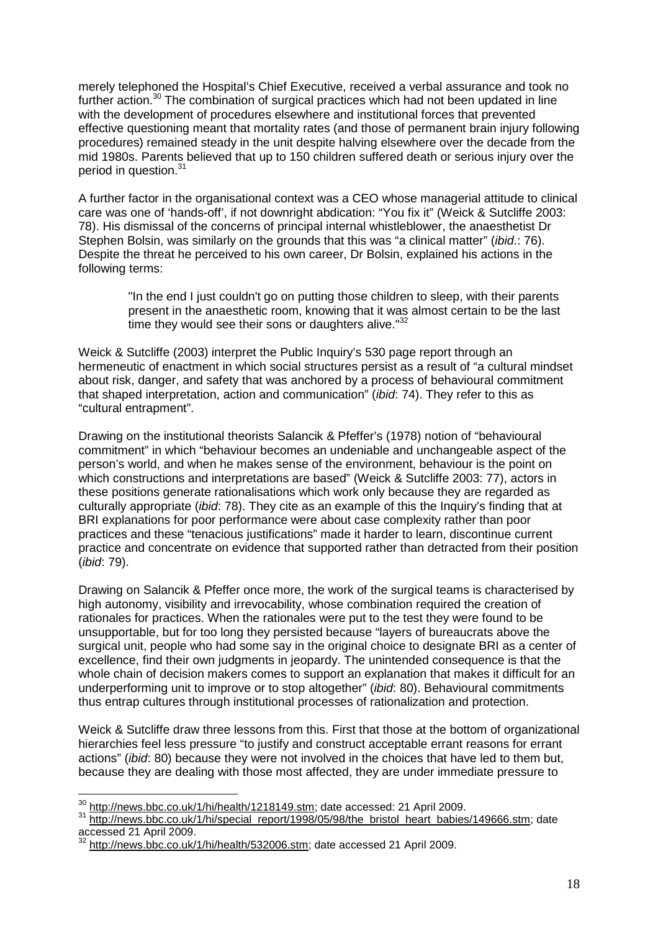merely telephoned the Hospital's Chief Executive, received a verbal assurance and took no further action.<sup>30</sup> The combination of surgical practices which had not been updated in line with the development of procedures elsewhere and institutional forces that prevented effective questioning meant that mortality rates (and those of permanent brain injury following procedures) remained steady in the unit despite halving elsewhere over the decade from the mid 1980s. Parents believed that up to 150 children suffered death or serious injury over the period in question.<sup>31</sup>

A further factor in the organisational context was a CEO whose managerial attitude to clinical care was one of 'hands-off', if not downright abdication: "You fix it" (Weick & Sutcliffe 2003: 78). His dismissal of the concerns of principal internal whistleblower, the anaesthetist Dr Stephen Bolsin, was similarly on the grounds that this was "a clinical matter" (*ibid.*: 76). Despite the threat he perceived to his own career, Dr Bolsin, explained his actions in the following terms:

> "In the end I just couldn't go on putting those children to sleep, with their parents present in the anaesthetic room, knowing that it was almost certain to be the last time they would see their sons or daughters alive."<sup>32</sup>

Weick & Sutcliffe (2003) interpret the Public Inquiry's 530 page report through an hermeneutic of enactment in which social structures persist as a result of "a cultural mindset about risk, danger, and safety that was anchored by a process of behavioural commitment that shaped interpretation, action and communication" (ibid: 74). They refer to this as "cultural entrapment".

Drawing on the institutional theorists Salancik & Pfeffer's (1978) notion of "behavioural commitment" in which "behaviour becomes an undeniable and unchangeable aspect of the person's world, and when he makes sense of the environment, behaviour is the point on which constructions and interpretations are based" (Weick & Sutcliffe 2003: 77), actors in these positions generate rationalisations which work only because they are regarded as culturally appropriate (ibid: 78). They cite as an example of this the Inquiry's finding that at BRI explanations for poor performance were about case complexity rather than poor practices and these "tenacious justifications" made it harder to learn, discontinue current practice and concentrate on evidence that supported rather than detracted from their position (ibid: 79).

Drawing on Salancik & Pfeffer once more, the work of the surgical teams is characterised by high autonomy, visibility and irrevocability, whose combination required the creation of rationales for practices. When the rationales were put to the test they were found to be unsupportable, but for too long they persisted because "layers of bureaucrats above the surgical unit, people who had some say in the original choice to designate BRI as a center of excellence, find their own judgments in jeopardy. The unintended consequence is that the whole chain of decision makers comes to support an explanation that makes it difficult for an underperforming unit to improve or to stop altogether" (ibid: 80). Behavioural commitments thus entrap cultures through institutional processes of rationalization and protection.

Weick & Sutcliffe draw three lessons from this. First that those at the bottom of organizational hierarchies feel less pressure "to justify and construct acceptable errant reasons for errant actions" (*ibid*: 80) because they were not involved in the choices that have led to them but, because they are dealing with those most affected, they are under immediate pressure to

 $\overline{\phantom{a}}$ 

 $30$  http://news.bbc.co.uk/1/hi/health/1218149.stm; date accessed: 21 April 2009.

<sup>31</sup> http://news.bbc.co.uk/1/hi/special\_report/1998/05/98/the\_bristol\_heart\_babies/149666.stm; date accessed 21 April 2009.

 $\frac{32 \text{ http://news.bbc.co.uk/1/hi/health/532006.stm}}{32 \text{ http://news.bbc.co.uk/1/hi/health/532006.stm}}$ ; date accessed 21 April 2009.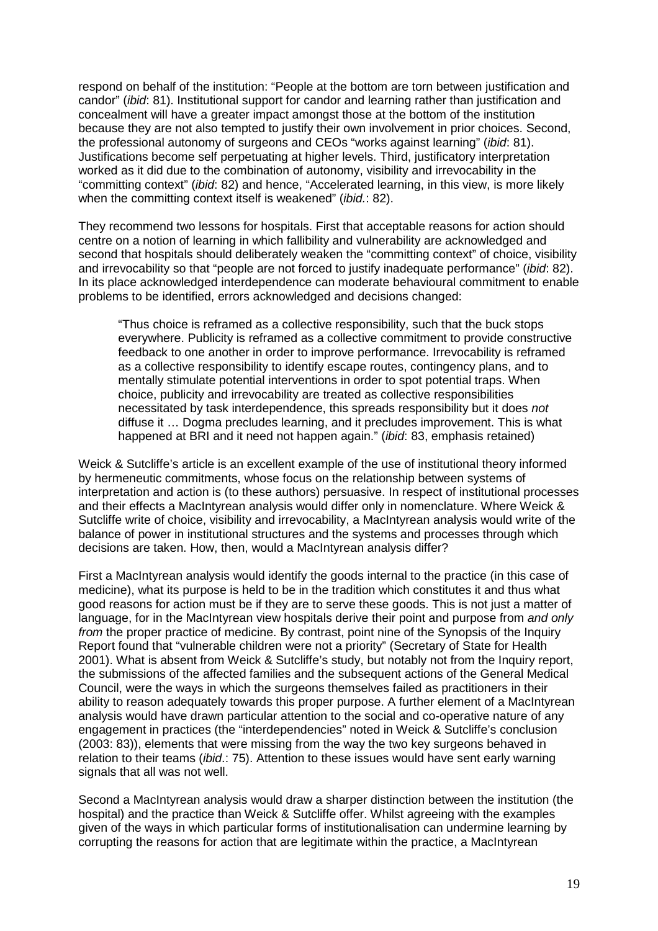respond on behalf of the institution: "People at the bottom are torn between justification and candor" (ibid: 81). Institutional support for candor and learning rather than justification and concealment will have a greater impact amongst those at the bottom of the institution because they are not also tempted to justify their own involvement in prior choices. Second, the professional autonomy of surgeons and CEOs "works against learning" (ibid: 81). Justifications become self perpetuating at higher levels. Third, justificatory interpretation worked as it did due to the combination of autonomy, visibility and irrevocability in the "committing context" (ibid: 82) and hence, "Accelerated learning, in this view, is more likely when the committing context itself is weakened" (*ibid.*: 82).

They recommend two lessons for hospitals. First that acceptable reasons for action should centre on a notion of learning in which fallibility and vulnerability are acknowledged and second that hospitals should deliberately weaken the "committing context" of choice, visibility and irrevocability so that "people are not forced to justify inadequate performance" (*ibid*: 82). In its place acknowledged interdependence can moderate behavioural commitment to enable problems to be identified, errors acknowledged and decisions changed:

 "Thus choice is reframed as a collective responsibility, such that the buck stops everywhere. Publicity is reframed as a collective commitment to provide constructive feedback to one another in order to improve performance. Irrevocability is reframed as a collective responsibility to identify escape routes, contingency plans, and to mentally stimulate potential interventions in order to spot potential traps. When choice, publicity and irrevocability are treated as collective responsibilities necessitated by task interdependence, this spreads responsibility but it does not diffuse it … Dogma precludes learning, and it precludes improvement. This is what happened at BRI and it need not happen again." (*ibid*: 83, emphasis retained)

Weick & Sutcliffe's article is an excellent example of the use of institutional theory informed by hermeneutic commitments, whose focus on the relationship between systems of interpretation and action is (to these authors) persuasive. In respect of institutional processes and their effects a MacIntyrean analysis would differ only in nomenclature. Where Weick & Sutcliffe write of choice, visibility and irrevocability, a MacIntyrean analysis would write of the balance of power in institutional structures and the systems and processes through which decisions are taken. How, then, would a MacIntyrean analysis differ?

First a MacIntyrean analysis would identify the goods internal to the practice (in this case of medicine), what its purpose is held to be in the tradition which constitutes it and thus what good reasons for action must be if they are to serve these goods. This is not just a matter of language, for in the MacIntyrean view hospitals derive their point and purpose from and only from the proper practice of medicine. By contrast, point nine of the Synopsis of the Inquiry Report found that "vulnerable children were not a priority" (Secretary of State for Health 2001). What is absent from Weick & Sutcliffe's study, but notably not from the Inquiry report, the submissions of the affected families and the subsequent actions of the General Medical Council, were the ways in which the surgeons themselves failed as practitioners in their ability to reason adequately towards this proper purpose. A further element of a MacIntyrean analysis would have drawn particular attention to the social and co-operative nature of any engagement in practices (the "interdependencies" noted in Weick & Sutcliffe's conclusion (2003: 83)), elements that were missing from the way the two key surgeons behaved in relation to their teams *(ibid.:* 75). Attention to these issues would have sent early warning signals that all was not well.

Second a MacIntyrean analysis would draw a sharper distinction between the institution (the hospital) and the practice than Weick & Sutcliffe offer. Whilst agreeing with the examples given of the ways in which particular forms of institutionalisation can undermine learning by corrupting the reasons for action that are legitimate within the practice, a MacIntyrean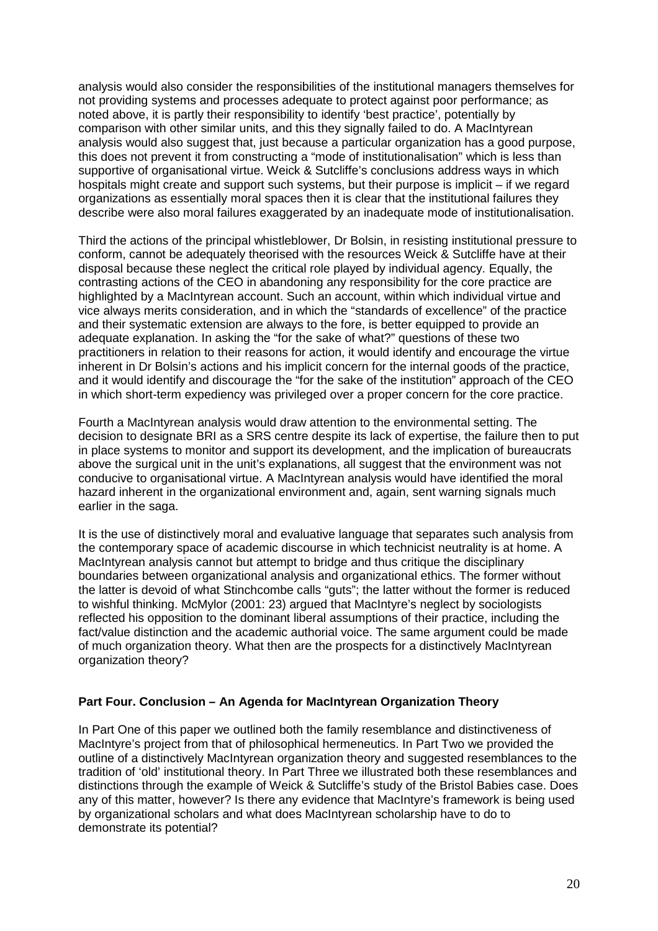analysis would also consider the responsibilities of the institutional managers themselves for not providing systems and processes adequate to protect against poor performance; as noted above, it is partly their responsibility to identify 'best practice', potentially by comparison with other similar units, and this they signally failed to do. A MacIntyrean analysis would also suggest that, just because a particular organization has a good purpose. this does not prevent it from constructing a "mode of institutionalisation" which is less than supportive of organisational virtue. Weick & Sutcliffe's conclusions address ways in which hospitals might create and support such systems, but their purpose is implicit – if we regard organizations as essentially moral spaces then it is clear that the institutional failures they describe were also moral failures exaggerated by an inadequate mode of institutionalisation.

Third the actions of the principal whistleblower, Dr Bolsin, in resisting institutional pressure to conform, cannot be adequately theorised with the resources Weick & Sutcliffe have at their disposal because these neglect the critical role played by individual agency. Equally, the contrasting actions of the CEO in abandoning any responsibility for the core practice are highlighted by a MacIntyrean account. Such an account, within which individual virtue and vice always merits consideration, and in which the "standards of excellence" of the practice and their systematic extension are always to the fore, is better equipped to provide an adequate explanation. In asking the "for the sake of what?" questions of these two practitioners in relation to their reasons for action, it would identify and encourage the virtue inherent in Dr Bolsin's actions and his implicit concern for the internal goods of the practice, and it would identify and discourage the "for the sake of the institution" approach of the CEO in which short-term expediency was privileged over a proper concern for the core practice.

Fourth a MacIntyrean analysis would draw attention to the environmental setting. The decision to designate BRI as a SRS centre despite its lack of expertise, the failure then to put in place systems to monitor and support its development, and the implication of bureaucrats above the surgical unit in the unit's explanations, all suggest that the environment was not conducive to organisational virtue. A MacIntyrean analysis would have identified the moral hazard inherent in the organizational environment and, again, sent warning signals much earlier in the saga.

It is the use of distinctively moral and evaluative language that separates such analysis from the contemporary space of academic discourse in which technicist neutrality is at home. A MacIntyrean analysis cannot but attempt to bridge and thus critique the disciplinary boundaries between organizational analysis and organizational ethics. The former without the latter is devoid of what Stinchcombe calls "guts"; the latter without the former is reduced to wishful thinking. McMylor (2001: 23) argued that MacIntyre's neglect by sociologists reflected his opposition to the dominant liberal assumptions of their practice, including the fact/value distinction and the academic authorial voice. The same argument could be made of much organization theory. What then are the prospects for a distinctively MacIntyrean organization theory?

#### **Part Four. Conclusion – An Agenda for MacIntyrean Organization Theory**

In Part One of this paper we outlined both the family resemblance and distinctiveness of MacIntyre's project from that of philosophical hermeneutics. In Part Two we provided the outline of a distinctively MacIntyrean organization theory and suggested resemblances to the tradition of 'old' institutional theory. In Part Three we illustrated both these resemblances and distinctions through the example of Weick & Sutcliffe's study of the Bristol Babies case. Does any of this matter, however? Is there any evidence that MacIntyre's framework is being used by organizational scholars and what does MacIntyrean scholarship have to do to demonstrate its potential?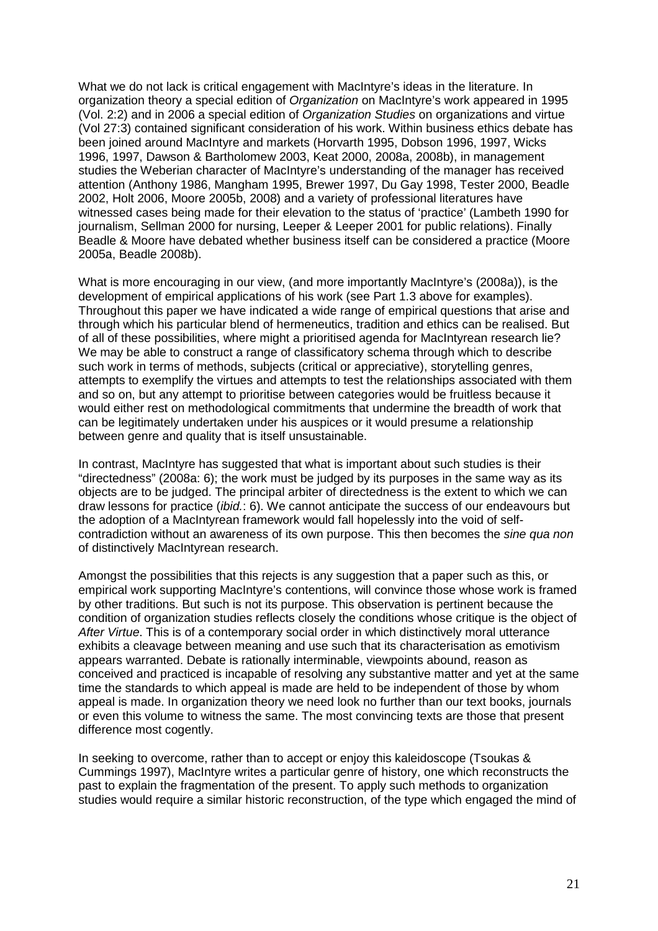What we do not lack is critical engagement with MacIntyre's ideas in the literature. In organization theory a special edition of Organization on MacIntyre's work appeared in 1995 (Vol. 2:2) and in 2006 a special edition of Organization Studies on organizations and virtue (Vol 27:3) contained significant consideration of his work. Within business ethics debate has been joined around MacIntyre and markets (Horvarth 1995, Dobson 1996, 1997, Wicks 1996, 1997, Dawson & Bartholomew 2003, Keat 2000, 2008a, 2008b), in management studies the Weberian character of MacIntyre's understanding of the manager has received attention (Anthony 1986, Mangham 1995, Brewer 1997, Du Gay 1998, Tester 2000, Beadle 2002, Holt 2006, Moore 2005b, 2008) and a variety of professional literatures have witnessed cases being made for their elevation to the status of 'practice' (Lambeth 1990 for journalism, Sellman 2000 for nursing, Leeper & Leeper 2001 for public relations). Finally Beadle & Moore have debated whether business itself can be considered a practice (Moore 2005a, Beadle 2008b).

What is more encouraging in our view, (and more importantly MacIntyre's (2008a)), is the development of empirical applications of his work (see Part 1.3 above for examples). Throughout this paper we have indicated a wide range of empirical questions that arise and through which his particular blend of hermeneutics, tradition and ethics can be realised. But of all of these possibilities, where might a prioritised agenda for MacIntyrean research lie? We may be able to construct a range of classificatory schema through which to describe such work in terms of methods, subjects (critical or appreciative), storytelling genres, attempts to exemplify the virtues and attempts to test the relationships associated with them and so on, but any attempt to prioritise between categories would be fruitless because it would either rest on methodological commitments that undermine the breadth of work that can be legitimately undertaken under his auspices or it would presume a relationship between genre and quality that is itself unsustainable.

In contrast, MacIntyre has suggested that what is important about such studies is their "directedness" (2008a: 6); the work must be judged by its purposes in the same way as its objects are to be judged. The principal arbiter of directedness is the extent to which we can draw lessons for practice (ibid.: 6). We cannot anticipate the success of our endeavours but the adoption of a MacIntyrean framework would fall hopelessly into the void of selfcontradiction without an awareness of its own purpose. This then becomes the sine qua non of distinctively MacIntyrean research.

Amongst the possibilities that this rejects is any suggestion that a paper such as this, or empirical work supporting MacIntyre's contentions, will convince those whose work is framed by other traditions. But such is not its purpose. This observation is pertinent because the condition of organization studies reflects closely the conditions whose critique is the object of After Virtue. This is of a contemporary social order in which distinctively moral utterance exhibits a cleavage between meaning and use such that its characterisation as emotivism appears warranted. Debate is rationally interminable, viewpoints abound, reason as conceived and practiced is incapable of resolving any substantive matter and yet at the same time the standards to which appeal is made are held to be independent of those by whom appeal is made. In organization theory we need look no further than our text books, journals or even this volume to witness the same. The most convincing texts are those that present difference most cogently.

In seeking to overcome, rather than to accept or enjoy this kaleidoscope (Tsoukas & Cummings 1997), MacIntyre writes a particular genre of history, one which reconstructs the past to explain the fragmentation of the present. To apply such methods to organization studies would require a similar historic reconstruction, of the type which engaged the mind of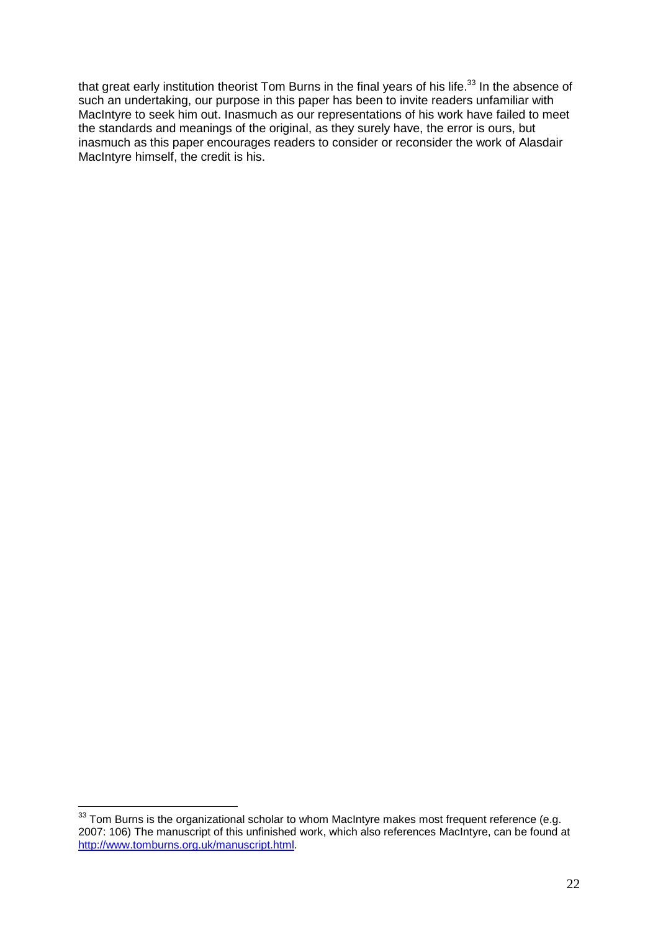that great early institution theorist Tom Burns in the final years of his life.<sup>33</sup> In the absence of such an undertaking, our purpose in this paper has been to invite readers unfamiliar with MacIntyre to seek him out. Inasmuch as our representations of his work have failed to meet the standards and meanings of the original, as they surely have, the error is ours, but inasmuch as this paper encourages readers to consider or reconsider the work of Alasdair MacIntyre himself, the credit is his.

 $\overline{a}$  $33$  Tom Burns is the organizational scholar to whom MacIntyre makes most frequent reference (e.g. 2007: 106) The manuscript of this unfinished work, which also references MacIntyre, can be found at http://www.tomburns.org.uk/manuscript.html.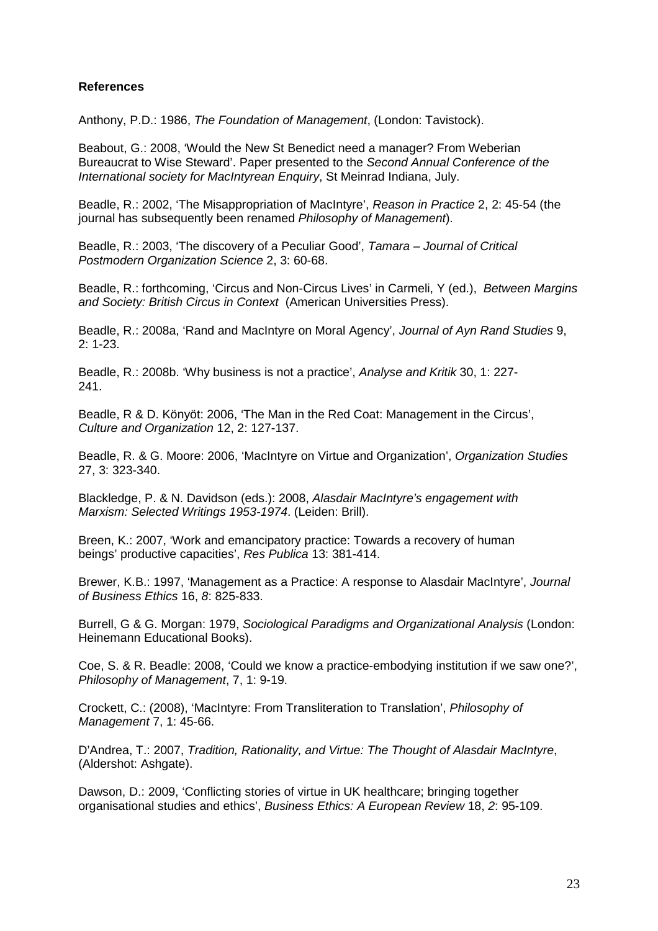## **References**

Anthony, P.D.: 1986, The Foundation of Management, (London: Tavistock).

Beabout, G.: 2008, 'Would the New St Benedict need a manager? From Weberian Bureaucrat to Wise Steward'. Paper presented to the Second Annual Conference of the International society for MacIntyrean Enquiry, St Meinrad Indiana, July,

Beadle, R.: 2002, 'The Misappropriation of MacIntyre', Reason in Practice 2, 2: 45-54 (the journal has subsequently been renamed Philosophy of Management).

Beadle, R.: 2003, 'The discovery of a Peculiar Good', Tamara – Journal of Critical Postmodern Organization Science 2, 3: 60-68.

Beadle, R.: forthcoming, 'Circus and Non-Circus Lives' in Carmeli, Y (ed.), Between Margins and Society: British Circus in Context (American Universities Press).

Beadle, R.: 2008a, 'Rand and MacIntyre on Moral Agency', Journal of Ayn Rand Studies 9, 2: 1-23.

Beadle, R.: 2008b. 'Why business is not a practice', Analyse and Kritik 30, 1: 227- 241.

Beadle, R & D. Könyöt: 2006, 'The Man in the Red Coat: Management in the Circus', Culture and Organization 12, 2: 127-137.

Beadle, R. & G. Moore: 2006, 'MacIntyre on Virtue and Organization', Organization Studies 27, 3: 323-340.

Blackledge, P. & N. Davidson (eds.): 2008, Alasdair MacIntyre's engagement with Marxism: Selected Writings 1953-1974. (Leiden: Brill).

Breen, K.: 2007, 'Work and emancipatory practice: Towards a recovery of human beings' productive capacities', Res Publica 13: 381-414.

Brewer, K.B.: 1997, 'Management as a Practice: A response to Alasdair MacIntyre', Journal of Business Ethics 16, 8: 825-833.

Burrell, G & G. Morgan: 1979, Sociological Paradigms and Organizational Analysis (London: Heinemann Educational Books).

Coe, S. & R. Beadle: 2008, 'Could we know a practice-embodying institution if we saw one?', Philosophy of Management, 7, 1: 9-19.

Crockett, C.: (2008), 'MacIntyre: From Transliteration to Translation', Philosophy of Management 7, 1: 45-66.

D'Andrea, T.: 2007, Tradition, Rationality, and Virtue: The Thought of Alasdair MacIntyre, (Aldershot: Ashgate).

Dawson, D.: 2009, 'Conflicting stories of virtue in UK healthcare; bringing together organisational studies and ethics', Business Ethics: A European Review 18, 2: 95-109.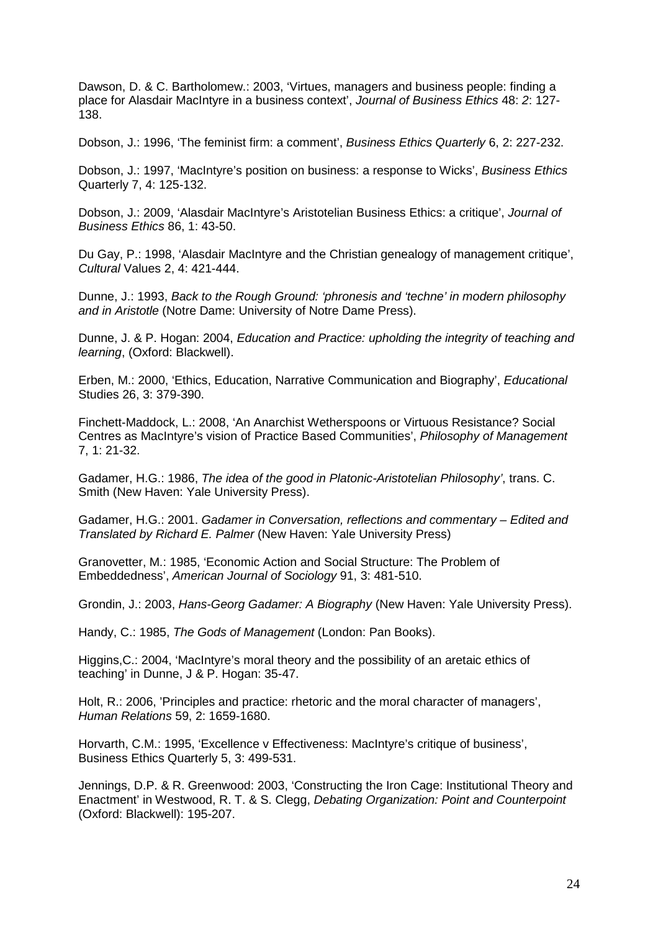Dawson, D. & C. Bartholomew.: 2003, 'Virtues, managers and business people: finding a place for Alasdair MacIntyre in a business context', Journal of Business Ethics 48: 2: 127- 138.

Dobson, J.: 1996, 'The feminist firm: a comment', Business Ethics Quarterly 6, 2: 227-232.

Dobson, J.: 1997, 'MacIntyre's position on business: a response to Wicks', Business Ethics Quarterly 7, 4: 125-132.

Dobson, J.: 2009, 'Alasdair MacIntyre's Aristotelian Business Ethics: a critique', Journal of Business Ethics 86, 1: 43-50.

Du Gay, P.: 1998, 'Alasdair MacIntyre and the Christian genealogy of management critique', Cultural Values 2, 4: 421-444.

Dunne, J.: 1993, Back to the Rough Ground: 'phronesis and 'techne' in modern philosophy and in Aristotle (Notre Dame: University of Notre Dame Press).

Dunne, J. & P. Hogan: 2004, Education and Practice: upholding the integrity of teaching and learning, (Oxford: Blackwell).

Erben, M.: 2000, 'Ethics, Education, Narrative Communication and Biography', Educational Studies 26, 3: 379-390.

Finchett-Maddock, L.: 2008, 'An Anarchist Wetherspoons or Virtuous Resistance? Social Centres as MacIntyre's vision of Practice Based Communities', Philosophy of Management 7, 1: 21-32.

Gadamer, H.G.: 1986, The idea of the good in Platonic-Aristotelian Philosophy', trans. C. Smith (New Haven: Yale University Press).

Gadamer, H.G.: 2001. Gadamer in Conversation, reflections and commentary – Edited and Translated by Richard E. Palmer (New Haven: Yale University Press)

Granovetter, M.: 1985, 'Economic Action and Social Structure: The Problem of Embeddedness', American Journal of Sociology 91, 3: 481-510.

Grondin, J.: 2003, Hans-Georg Gadamer: A Biography (New Haven: Yale University Press).

Handy, C.: 1985, The Gods of Management (London: Pan Books).

Higgins,C.: 2004, 'MacIntyre's moral theory and the possibility of an aretaic ethics of teaching' in Dunne, J & P. Hogan: 35-47.

Holt, R.: 2006, 'Principles and practice: rhetoric and the moral character of managers', Human Relations 59, 2: 1659-1680.

Horvarth, C.M.: 1995, 'Excellence v Effectiveness: MacIntyre's critique of business', Business Ethics Quarterly 5, 3: 499-531.

Jennings, D.P. & R. Greenwood: 2003, 'Constructing the Iron Cage: Institutional Theory and Enactment' in Westwood, R. T. & S. Clegg, Debating Organization: Point and Counterpoint (Oxford: Blackwell): 195-207.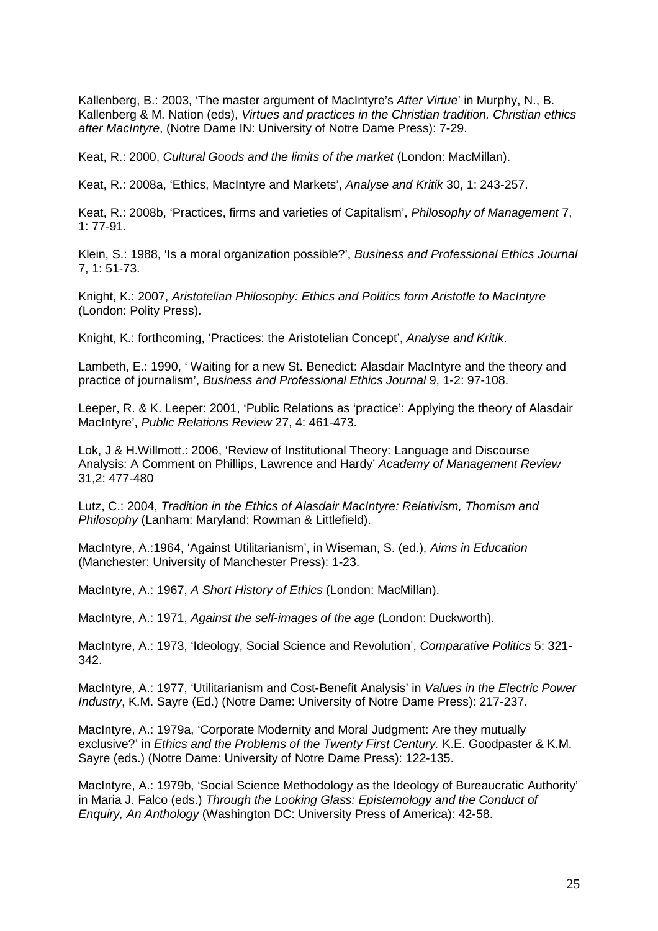Kallenberg, B.: 2003, 'The master argument of MacIntyre's After Virtue' in Murphy, N., B. Kallenberg & M. Nation (eds), Virtues and practices in the Christian tradition. Christian ethics after MacIntyre, (Notre Dame IN: University of Notre Dame Press): 7-29.

Keat, R.: 2000, Cultural Goods and the limits of the market (London: MacMillan).

Keat, R.: 2008a, 'Ethics, MacIntyre and Markets', Analyse and Kritik 30, 1: 243-257.

Keat, R.: 2008b, 'Practices, firms and varieties of Capitalism', Philosophy of Management 7, 1: 77-91.

Klein, S.: 1988, 'Is a moral organization possible?', Business and Professional Ethics Journal 7, 1: 51-73.

Knight, K.: 2007, Aristotelian Philosophy: Ethics and Politics form Aristotle to MacIntyre (London: Polity Press).

Knight, K.: forthcoming, 'Practices: the Aristotelian Concept', Analyse and Kritik.

Lambeth, E.: 1990, ' Waiting for a new St. Benedict: Alasdair MacIntyre and the theory and practice of journalism', Business and Professional Ethics Journal 9, 1-2: 97-108.

Leeper, R. & K. Leeper: 2001, 'Public Relations as 'practice': Applying the theory of Alasdair MacIntyre', Public Relations Review 27, 4: 461-473.

Lok, J & H.Willmott.: 2006, 'Review of Institutional Theory: Language and Discourse Analysis: A Comment on Phillips, Lawrence and Hardy' Academy of Management Review 31,2: 477-480

Lutz, C.: 2004, Tradition in the Ethics of Alasdair MacIntyre: Relativism, Thomism and Philosophy (Lanham: Maryland: Rowman & Littlefield).

MacIntyre, A.:1964, 'Against Utilitarianism', in Wiseman, S. (ed.), Aims in Education (Manchester: University of Manchester Press): 1-23.

MacIntyre, A.: 1967, A Short History of Ethics (London: MacMillan).

MacIntyre, A.: 1971, Against the self-images of the age (London: Duckworth).

MacIntyre, A.: 1973, 'Ideology, Social Science and Revolution', Comparative Politics 5: 321-342.

MacIntyre, A.: 1977, 'Utilitarianism and Cost-Benefit Analysis' in Values in the Electric Power Industry, K.M. Sayre (Ed.) (Notre Dame: University of Notre Dame Press): 217-237.

MacIntyre, A.: 1979a, 'Corporate Modernity and Moral Judgment: Are they mutually exclusive?' in Ethics and the Problems of the Twenty First Century. K.E. Goodpaster & K.M. Sayre (eds.) (Notre Dame: University of Notre Dame Press): 122-135.

MacIntyre, A.: 1979b, 'Social Science Methodology as the Ideology of Bureaucratic Authority' in Maria J. Falco (eds.) Through the Looking Glass: Epistemology and the Conduct of Enquiry, An Anthology (Washington DC: University Press of America): 42-58.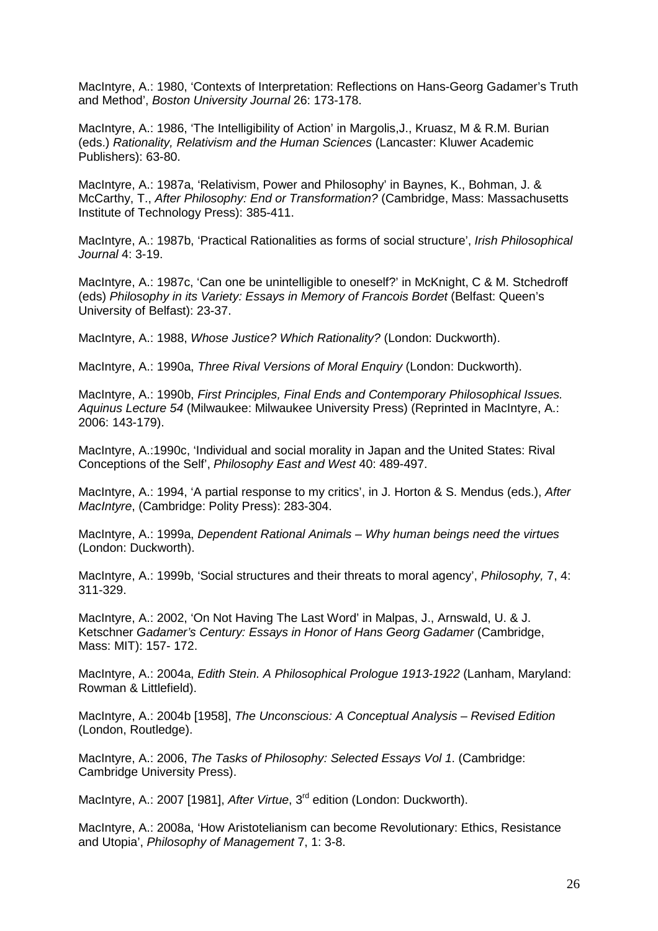MacIntyre, A.: 1980, 'Contexts of Interpretation: Reflections on Hans-Georg Gadamer's Truth and Method', Boston University Journal 26: 173-178.

MacIntyre, A.: 1986, 'The Intelligibility of Action' in Margolis,J., Kruasz, M & R.M. Burian (eds.) Rationality, Relativism and the Human Sciences (Lancaster: Kluwer Academic Publishers): 63-80.

MacIntyre, A.: 1987a, 'Relativism, Power and Philosophy' in Baynes, K., Bohman, J. & McCarthy, T., After Philosophy: End or Transformation? (Cambridge, Mass: Massachusetts Institute of Technology Press): 385-411.

MacIntyre, A.: 1987b, 'Practical Rationalities as forms of social structure', Irish Philosophical Journal 4: 3-19.

MacIntyre, A.: 1987c, 'Can one be unintelligible to oneself?' in McKnight, C & M. Stchedroff (eds) Philosophy in its Variety: Essays in Memory of Francois Bordet (Belfast: Queen's University of Belfast): 23-37.

MacIntyre, A.: 1988, Whose Justice? Which Rationality? (London: Duckworth).

MacIntyre, A.: 1990a, Three Rival Versions of Moral Enquiry (London: Duckworth).

MacIntyre, A.: 1990b, First Principles, Final Ends and Contemporary Philosophical Issues. Aquinus Lecture 54 (Milwaukee: Milwaukee University Press) (Reprinted in MacIntyre, A.: 2006: 143-179).

MacIntyre, A.:1990c, 'Individual and social morality in Japan and the United States: Rival Conceptions of the Self', Philosophy East and West 40: 489-497.

MacIntyre, A.: 1994, 'A partial response to my critics', in J. Horton & S. Mendus (eds.), After MacIntyre, (Cambridge: Polity Press): 283-304.

MacIntyre, A.: 1999a, Dependent Rational Animals – Why human beings need the virtues (London: Duckworth).

MacIntyre, A.: 1999b, 'Social structures and their threats to moral agency', Philosophy, 7, 4: 311-329.

MacIntyre, A.: 2002, 'On Not Having The Last Word' in Malpas, J., Arnswald, U. & J. Ketschner Gadamer's Century: Essays in Honor of Hans Georg Gadamer (Cambridge, Mass: MIT): 157- 172.

MacIntyre, A.: 2004a, Edith Stein. A Philosophical Prologue 1913-1922 (Lanham, Maryland: Rowman & Littlefield).

MacIntyre, A.: 2004b [1958], The Unconscious: A Conceptual Analysis – Revised Edition (London, Routledge).

MacIntyre, A.: 2006, The Tasks of Philosophy: Selected Essays Vol 1. (Cambridge: Cambridge University Press).

MacIntyre, A.: 2007 [1981], After Virtue, 3<sup>rd</sup> edition (London: Duckworth).

MacIntyre, A.: 2008a, 'How Aristotelianism can become Revolutionary: Ethics, Resistance and Utopia', Philosophy of Management 7, 1: 3-8.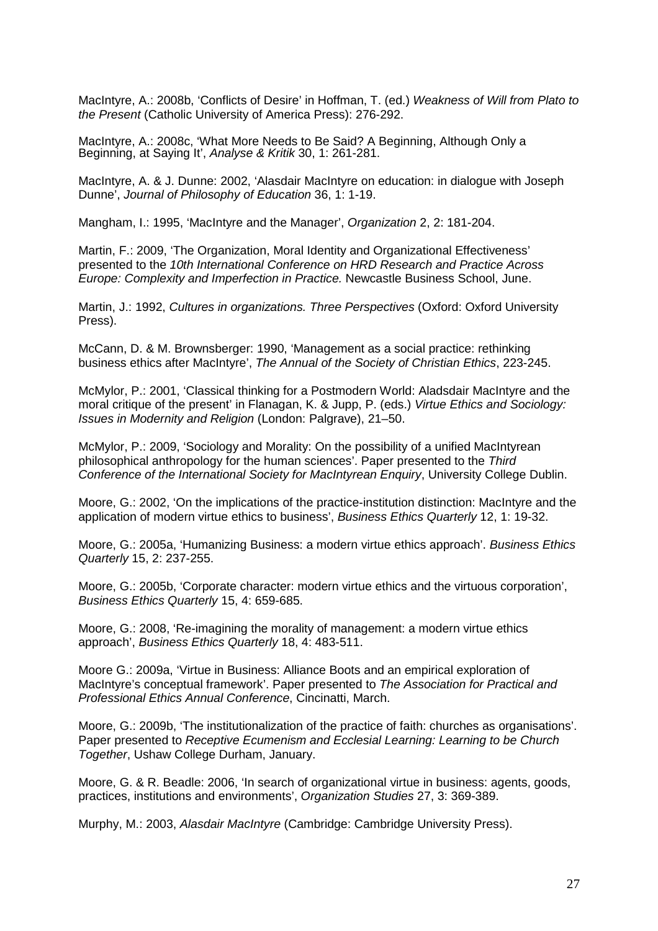MacIntyre, A.: 2008b, 'Conflicts of Desire' in Hoffman, T. (ed.) Weakness of Will from Plato to the Present (Catholic University of America Press): 276-292.

MacIntyre, A.: 2008c, 'What More Needs to Be Said? A Beginning, Although Only a Beginning, at Saying It', Analyse & Kritik 30, 1: 261-281.

MacIntyre, A. & J. Dunne: 2002, 'Alasdair MacIntyre on education: in dialogue with Joseph Dunne', Journal of Philosophy of Education 36, 1: 1-19.

Mangham, I.: 1995, 'MacIntyre and the Manager', Organization 2, 2: 181-204.

Martin, F.: 2009, 'The Organization, Moral Identity and Organizational Effectiveness' presented to the 10th International Conference on HRD Research and Practice Across Europe: Complexity and Imperfection in Practice. Newcastle Business School, June.

Martin, J.: 1992, Cultures in organizations. Three Perspectives (Oxford: Oxford University Press).

McCann, D. & M. Brownsberger: 1990, 'Management as a social practice: rethinking business ethics after MacIntyre', The Annual of the Society of Christian Ethics, 223-245.

McMylor, P.: 2001, 'Classical thinking for a Postmodern World: Aladsdair MacIntyre and the moral critique of the present' in Flanagan, K. & Jupp, P. (eds.) Virtue Ethics and Sociology: Issues in Modernity and Religion (London: Palgrave), 21–50.

McMylor, P.: 2009, 'Sociology and Morality: On the possibility of a unified MacIntyrean philosophical anthropology for the human sciences'. Paper presented to the Third Conference of the International Society for MacIntyrean Enquiry, University College Dublin.

Moore, G.: 2002, 'On the implications of the practice-institution distinction: MacIntyre and the application of modern virtue ethics to business', Business Ethics Quarterly 12, 1: 19-32.

Moore, G.: 2005a, 'Humanizing Business: a modern virtue ethics approach'. Business Ethics Quarterly 15, 2: 237-255.

Moore, G.: 2005b, 'Corporate character: modern virtue ethics and the virtuous corporation', Business Ethics Quarterly 15, 4: 659-685.

Moore, G.: 2008, 'Re-imagining the morality of management: a modern virtue ethics approach', Business Ethics Quarterly 18, 4: 483-511.

Moore G.: 2009a, 'Virtue in Business: Alliance Boots and an empirical exploration of MacIntyre's conceptual framework'. Paper presented to The Association for Practical and Professional Ethics Annual Conference, Cincinatti, March.

Moore, G.: 2009b, 'The institutionalization of the practice of faith: churches as organisations'. Paper presented to Receptive Ecumenism and Ecclesial Learning: Learning to be Church Together, Ushaw College Durham, January.

Moore, G. & R. Beadle: 2006, 'In search of organizational virtue in business: agents, goods, practices, institutions and environments', Organization Studies 27, 3: 369-389.

Murphy, M.: 2003, Alasdair MacIntyre (Cambridge: Cambridge University Press).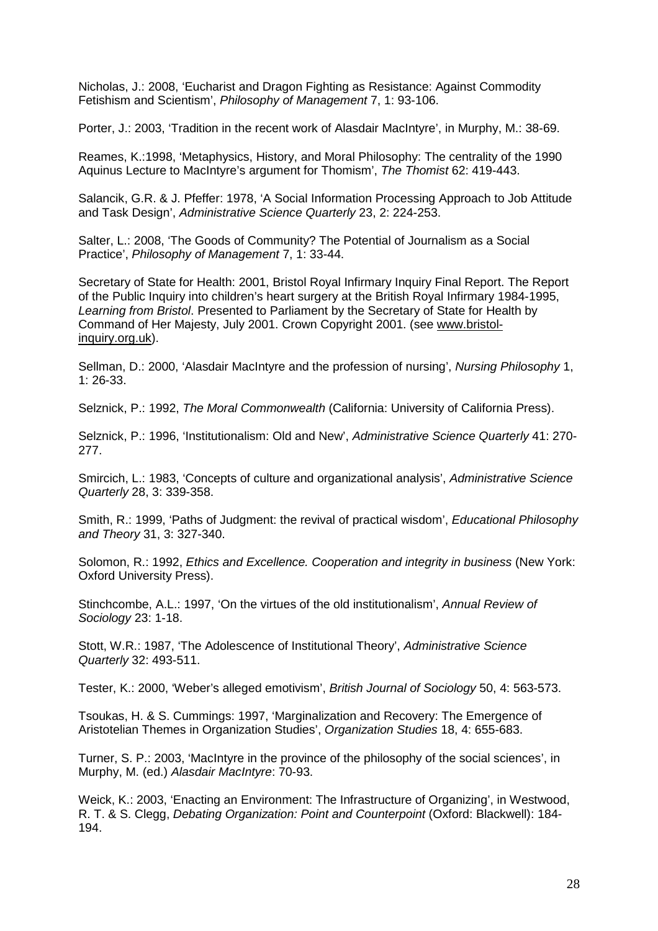Nicholas, J.: 2008, 'Eucharist and Dragon Fighting as Resistance: Against Commodity Fetishism and Scientism', Philosophy of Management 7, 1: 93-106.

Porter, J.: 2003, 'Tradition in the recent work of Alasdair MacIntyre', in Murphy, M.: 38-69.

Reames, K.:1998, 'Metaphysics, History, and Moral Philosophy: The centrality of the 1990 Aquinus Lecture to MacIntyre's argument for Thomism', The Thomist 62: 419-443.

Salancik, G.R. & J. Pfeffer: 1978, 'A Social Information Processing Approach to Job Attitude and Task Design', Administrative Science Quarterly 23, 2: 224-253.

Salter, L.: 2008, 'The Goods of Community? The Potential of Journalism as a Social Practice', Philosophy of Management 7, 1: 33-44.

Secretary of State for Health: 2001, Bristol Royal Infirmary Inquiry Final Report. The Report of the Public Inquiry into children's heart surgery at the British Royal Infirmary 1984-1995, Learning from Bristol. Presented to Parliament by the Secretary of State for Health by Command of Her Majesty, July 2001. Crown Copyright 2001. (see www.bristolinquiry.org.uk).

Sellman, D.: 2000, 'Alasdair MacIntyre and the profession of nursing', Nursing Philosophy 1, 1: 26-33.

Selznick, P.: 1992, The Moral Commonwealth (California: University of California Press).

Selznick, P.: 1996, 'Institutionalism: Old and New', Administrative Science Quarterly 41: 270- 277.

Smircich, L.: 1983, 'Concepts of culture and organizational analysis', Administrative Science Quarterly 28, 3: 339-358.

Smith, R.: 1999, 'Paths of Judgment: the revival of practical wisdom', Educational Philosophy and Theory 31, 3: 327-340.

Solomon, R.: 1992, Ethics and Excellence. Cooperation and integrity in business (New York: Oxford University Press).

Stinchcombe, A.L.: 1997, 'On the virtues of the old institutionalism', Annual Review of Sociology 23: 1-18.

Stott, W.R.: 1987, 'The Adolescence of Institutional Theory', Administrative Science Quarterly 32: 493-511.

Tester, K.: 2000, 'Weber's alleged emotivism', British Journal of Sociology 50, 4: 563-573.

Tsoukas, H. & S. Cummings: 1997, 'Marginalization and Recovery: The Emergence of Aristotelian Themes in Organization Studies', Organization Studies 18, 4: 655-683.

Turner, S. P.: 2003, 'MacIntyre in the province of the philosophy of the social sciences', in Murphy, M. (ed.) Alasdair MacIntyre: 70-93.

Weick, K.: 2003, 'Enacting an Environment: The Infrastructure of Organizing', in Westwood, R. T. & S. Clegg, Debating Organization: Point and Counterpoint (Oxford: Blackwell): 184- 194.